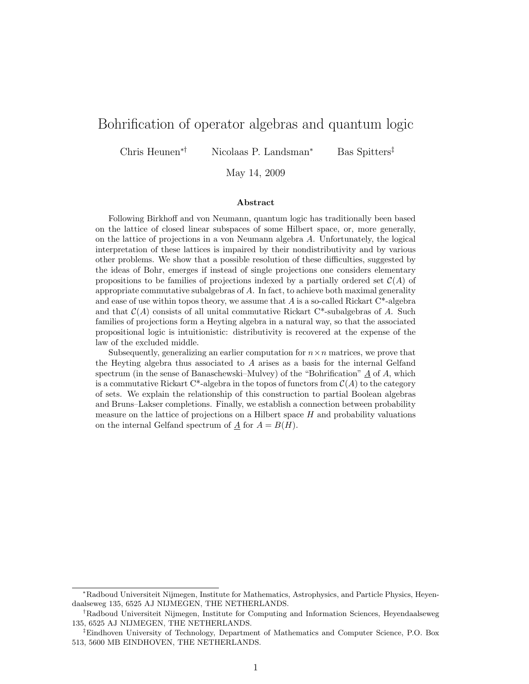# Bohrification of operator algebras and quantum logic

Chris Heunen∗† Nicolaas P. Landsman<sup>∗</sup> Bas Spitters‡

May 14, 2009

#### Abstract

Following Birkhoff and von Neumann, quantum logic has traditionally been based on the lattice of closed linear subspaces of some Hilbert space, or, more generally, on the lattice of projections in a von Neumann algebra A. Unfortunately, the logical interpretation of these lattices is impaired by their nondistributivity and by various other problems. We show that a possible resolution of these difficulties, suggested by the ideas of Bohr, emerges if instead of single projections one considers elementary propositions to be families of projections indexed by a partially ordered set  $\mathcal{C}(A)$  of appropriate commutative subalgebras of  $A$ . In fact, to achieve both maximal generality and ease of use within topos theory, we assume that A is a so-called Rickart  $C^*$ -algebra and that  $\mathcal{C}(A)$  consists of all unital commutative Rickart C<sup>\*</sup>-subalgebras of A. Such families of projections form a Heyting algebra in a natural way, so that the associated propositional logic is intuitionistic: distributivity is recovered at the expense of the law of the excluded middle.

Subsequently, generalizing an earlier computation for  $n \times n$  matrices, we prove that the Heyting algebra thus associated to  $A$  arises as a basis for the internal Gelfand spectrum (in the sense of Banaschewski–Mulvey) of the "Bohrification"  $\underline{A}$  of A, which is a commutative Rickart C\*-algebra in the topos of functors from  $\mathcal{C}(A)$  to the category of sets. We explain the relationship of this construction to partial Boolean algebras and Bruns–Lakser completions. Finally, we establish a connection between probability measure on the lattice of projections on a Hilbert space  $H$  and probability valuations on the internal Gelfand spectrum of  $\underline{A}$  for  $A = B(H)$ .

<sup>∗</sup>Radboud Universiteit Nijmegen, Institute for Mathematics, Astrophysics, and Particle Physics, Heyendaalseweg 135, 6525 AJ NIJMEGEN, THE NETHERLANDS.

<sup>†</sup>Radboud Universiteit Nijmegen, Institute for Computing and Information Sciences, Heyendaalseweg 135, 6525 AJ NIJMEGEN, THE NETHERLANDS.

<sup>‡</sup>Eindhoven University of Technology, Department of Mathematics and Computer Science, P.O. Box 513, 5600 MB EINDHOVEN, THE NETHERLANDS.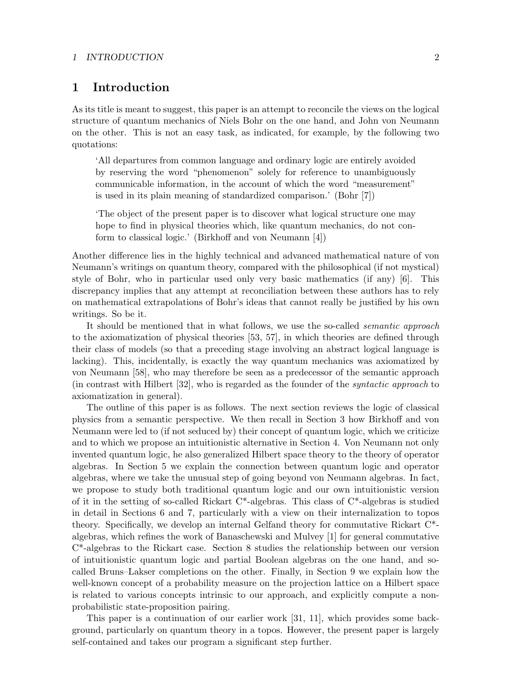#### 1 INTRODUCTION 2

## 1 Introduction

As its title is meant to suggest, this paper is an attempt to reconcile the views on the logical structure of quantum mechanics of Niels Bohr on the one hand, and John von Neumann on the other. This is not an easy task, as indicated, for example, by the following two quotations:

'All departures from common language and ordinary logic are entirely avoided by reserving the word "phenomenon" solely for reference to unambiguously communicable information, in the account of which the word "measurement" is used in its plain meaning of standardized comparison.' (Bohr [7])

'The object of the present paper is to discover what logical structure one may hope to find in physical theories which, like quantum mechanics, do not conform to classical logic.' (Birkhoff and von Neumann [4])

Another difference lies in the highly technical and advanced mathematical nature of von Neumann's writings on quantum theory, compared with the philosophical (if not mystical) style of Bohr, who in particular used only very basic mathematics (if any) [6]. This discrepancy implies that any attempt at reconciliation between these authors has to rely on mathematical extrapolations of Bohr's ideas that cannot really be justified by his own writings. So be it.

It should be mentioned that in what follows, we use the so-called semantic approach to the axiomatization of physical theories [53, 57], in which theories are defined through their class of models (so that a preceding stage involving an abstract logical language is lacking). This, incidentally, is exactly the way quantum mechanics was axiomatized by von Neumann [58], who may therefore be seen as a predecessor of the semantic approach (in contrast with Hilbert [32], who is regarded as the founder of the syntactic approach to axiomatization in general).

The outline of this paper is as follows. The next section reviews the logic of classical physics from a semantic perspective. We then recall in Section 3 how Birkhoff and von Neumann were led to (if not seduced by) their concept of quantum logic, which we criticize and to which we propose an intuitionistic alternative in Section 4. Von Neumann not only invented quantum logic, he also generalized Hilbert space theory to the theory of operator algebras. In Section 5 we explain the connection between quantum logic and operator algebras, where we take the unusual step of going beyond von Neumann algebras. In fact, we propose to study both traditional quantum logic and our own intuitionistic version of it in the setting of so-called Rickart  $C^*$ -algebras. This class of  $C^*$ -algebras is studied in detail in Sections 6 and 7, particularly with a view on their internalization to topos theory. Specifically, we develop an internal Gelfand theory for commutative Rickart C\* algebras, which refines the work of Banaschewski and Mulvey [1] for general commutative C\*-algebras to the Rickart case. Section 8 studies the relationship between our version of intuitionistic quantum logic and partial Boolean algebras on the one hand, and socalled Bruns–Lakser completions on the other. Finally, in Section 9 we explain how the well-known concept of a probability measure on the projection lattice on a Hilbert space is related to various concepts intrinsic to our approach, and explicitly compute a nonprobabilistic state-proposition pairing.

This paper is a continuation of our earlier work [31, 11], which provides some background, particularly on quantum theory in a topos. However, the present paper is largely self-contained and takes our program a significant step further.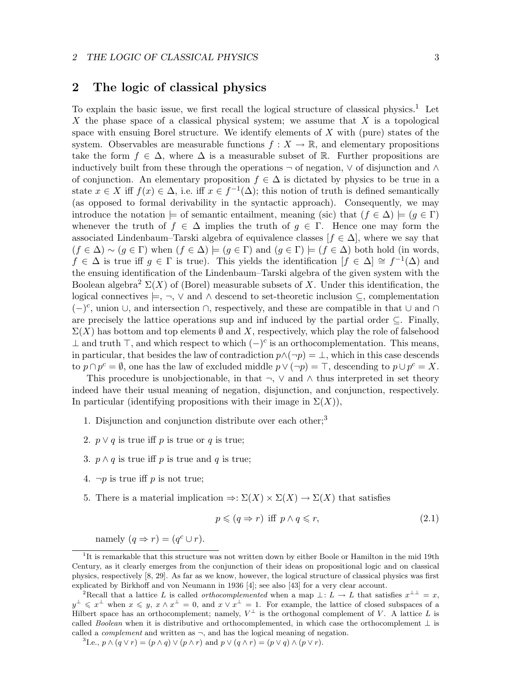## 2 The logic of classical physics

To explain the basic issue, we first recall the logical structure of classical physics.<sup>1</sup> Let X the phase space of a classical physical system; we assume that  $X$  is a topological space with ensuing Borel structure. We identify elements of  $X$  with (pure) states of the system. Observables are measurable functions  $f: X \to \mathbb{R}$ , and elementary propositions take the form  $f \in \Delta$ , where  $\Delta$  is a measurable subset of R. Further propositions are inductively built from these through the operations  $\neg$  of negation,  $\vee$  of disjunction and ∧ of conjunction. An elementary proposition  $f \in \Delta$  is dictated by physics to be true in a state  $x \in X$  iff  $f(x) \in \Delta$ , i.e. iff  $x \in f^{-1}(\Delta)$ ; this notion of truth is defined semantically (as opposed to formal derivability in the syntactic approach). Consequently, we may introduce the notation  $\models$  of semantic entailment, meaning (sic) that  $(f \in \Delta) \models (g \in \Gamma)$ whenever the truth of  $f \in \Delta$  implies the truth of  $g \in \Gamma$ . Hence one may form the associated Lindenbaum–Tarski algebra of equivalence classes  $[f \in \Delta]$ , where we say that  $(f \in \Delta) \sim (g \in \Gamma)$  when  $(f \in \Delta) \models (g \in \Gamma)$  and  $(g \in \Gamma) \models (f \in \Delta)$  both hold (in words,  $f \in \Delta$  is true iff  $g \in \Gamma$  is true). This yields the identification  $[f \in \Delta] \cong f^{-1}(\Delta)$  and the ensuing identification of the Lindenbaum–Tarski algebra of the given system with the Boolean algebra<sup>2</sup>  $\Sigma(X)$  of (Borel) measurable subsets of X. Under this identification, the logical connectives  $\models, \neg, \vee$  and  $\wedge$  descend to set-theoretic inclusion  $\subseteq$ , complementation  $(-)^c$ , union ∪, and intersection ∩, respectively, and these are compatible in that ∪ and ∩ are precisely the lattice operations sup and inf induced by the partial order ⊆. Finally,  $\Sigma(X)$  has bottom and top elements  $\emptyset$  and X, respectively, which play the role of falsehood ⊥ and truth  $\top$ , and which respect to which  $(-)^c$  is an orthocomplementation. This means, in particular, that besides the law of contradiction  $p \wedge (\neg p) = \bot$ , which in this case descends to  $p \cap p^c = \emptyset$ , one has the law of excluded middle  $p \vee (\neg p) = \top$ , descending to  $p \cup p^c = X$ .

This procedure is unobjectionable, in that  $\neg$ ,  $\vee$  and  $\wedge$  thus interpreted in set theory indeed have their usual meaning of negation, disjunction, and conjunction, respectively. In particular (identifying propositions with their image in  $\Sigma(X)$ ),

- 1. Disjunction and conjunction distribute over each other;<sup>3</sup>
- 2.  $p \vee q$  is true iff p is true or q is true;
- 3.  $p \wedge q$  is true iff p is true and q is true;
- 4.  $\neg p$  is true iff p is not true;
- 5. There is a material implication  $\Rightarrow: \Sigma(X) \times \Sigma(X) \rightarrow \Sigma(X)$  that satisfies

$$
p \leqslant (q \Rightarrow r) \text{ iff } p \land q \leqslant r,
$$
\n
$$
(2.1)
$$

namely  $(q \Rightarrow r) = (q^c \cup r)$ .

<sup>&</sup>lt;sup>1</sup>It is remarkable that this structure was not written down by either Boole or Hamilton in the mid 19th Century, as it clearly emerges from the conjunction of their ideas on propositional logic and on classical physics, respectively [8, 29]. As far as we know, however, the logical structure of classical physics was first explicated by Birkhoff and von Neumann in 1936 [4]; see also [43] for a very clear account.

<sup>&</sup>lt;sup>2</sup>Recall that a lattice L is called *orthocomplemented* when a map  $\bot: L \to L$  that satisfies  $x^{\bot \bot} = x$ ,  $y^{\perp} \leqslant x^{\perp}$  when  $x \leqslant y, x \wedge x^{\perp} = 0$ , and  $x \vee x^{\perp} = 1$ . For example, the lattice of closed subspaces of a Hilbert space has an orthocomplement; namely,  $V^{\perp}$  is the orthogonal complement of V. A lattice L is called Boolean when it is distributive and orthocomplemented, in which case the orthocomplement  $\perp$  is called a *complement* and written as  $\neg$ , and has the logical meaning of negation.

<sup>&</sup>lt;sup>3</sup>I.e.,  $p \wedge (q \vee r) = (p \wedge q) \vee (p \wedge r)$  and  $p \vee (q \wedge r) = (p \vee q) \wedge (p \vee r)$ .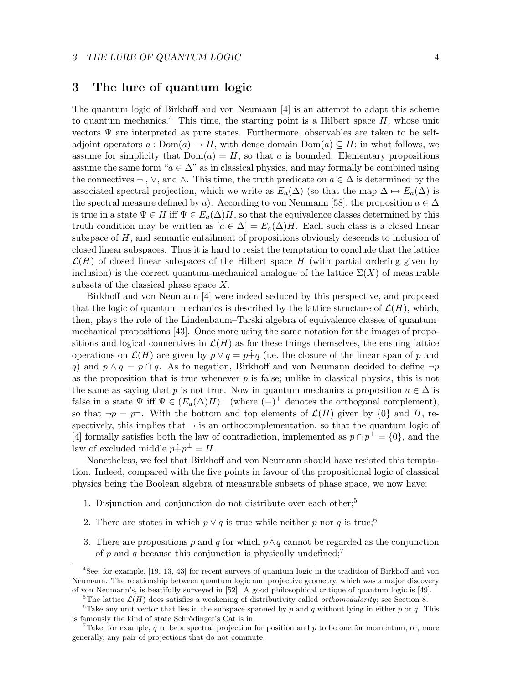## 3 The lure of quantum logic

The quantum logic of Birkhoff and von Neumann [4] is an attempt to adapt this scheme to quantum mechanics.<sup>4</sup> This time, the starting point is a Hilbert space  $H$ , whose unit vectors  $\Psi$  are interpreted as pure states. Furthermore, observables are taken to be selfadjoint operators  $a: Dom(a) \to H$ , with dense domain  $Dom(a) \subseteq H$ ; in what follows, we assume for simplicity that  $Dom(a) = H$ , so that a is bounded. Elementary propositions assume the same form " $a \in \Delta$ " as in classical physics, and may formally be combined using the connectives  $\neg$ ,  $\vee$ , and  $\wedge$ . This time, the truth predicate on  $a \in \Delta$  is determined by the associated spectral projection, which we write as  $E_a(\Delta)$  (so that the map  $\Delta \mapsto E_a(\Delta)$  is the spectral measure defined by a). According to von Neumann [58], the proposition  $a \in \Delta$ is true in a state  $\Psi \in H$  iff  $\Psi \in E_a(\Delta)H$ , so that the equivalence classes determined by this truth condition may be written as  $[a \in \Delta] = E_a(\Delta)H$ . Each such class is a closed linear subspace of H, and semantic entailment of propositions obviously descends to inclusion of closed linear subspaces. Thus it is hard to resist the temptation to conclude that the lattice  $\mathcal{L}(H)$  of closed linear subspaces of the Hilbert space H (with partial ordering given by inclusion) is the correct quantum-mechanical analogue of the lattice  $\Sigma(X)$  of measurable subsets of the classical phase space  $X$ .

Birkhoff and von Neumann [4] were indeed seduced by this perspective, and proposed that the logic of quantum mechanics is described by the lattice structure of  $\mathcal{L}(H)$ , which, then, plays the role of the Lindenbaum–Tarski algebra of equivalence classes of quantummechanical propositions [43]. Once more using the same notation for the images of propositions and logical connectives in  $\mathcal{L}(H)$  as for these things themselves, the ensuing lattice operations on  $\mathcal{L}(H)$  are given by  $p \vee q = p+q$  (i.e. the closure of the linear span of p and q) and  $p \wedge q = p \cap q$ . As to negation, Birkhoff and von Neumann decided to define  $\neg p$ as the proposition that is true whenever  $p$  is false; unlike in classical physics, this is not the same as saying that p is not true. Now in quantum mechanics a proposition  $a \in \Delta$  is false in a state  $\Psi$  iff  $\Psi \in (E_a(\Delta)H)^{\perp}$  (where  $(-)^{\perp}$  denotes the orthogonal complement), so that  $\neg p = p^{\perp}$ . With the bottom and top elements of  $\mathcal{L}(H)$  given by  $\{0\}$  and H, respectively, this implies that  $\neg$  is an orthocomplementation, so that the quantum logic of [4] formally satisfies both the law of contradiction, implemented as  $p \cap p^{\perp} = \{0\}$ , and the law of excluded middle  $p\dot{+}p^{\perp} = H$ .

Nonetheless, we feel that Birkhoff and von Neumann should have resisted this temptation. Indeed, compared with the five points in favour of the propositional logic of classical physics being the Boolean algebra of measurable subsets of phase space, we now have:

- 1. Disjunction and conjunction do not distribute over each other;<sup>5</sup>
- 2. There are states in which  $p \vee q$  is true while neither p nor q is true;<sup>6</sup>
- 3. There are propositions p and q for which  $p \wedge q$  cannot be regarded as the conjunction of p and q because this conjunction is physically undefined;<sup>7</sup>

<sup>4</sup>See, for example, [19, 13, 43] for recent surveys of quantum logic in the tradition of Birkhoff and von Neumann. The relationship between quantum logic and projective geometry, which was a major discovery of von Neumann's, is beatifully surveyed in [52]. A good philosophical critique of quantum logic is [49].

<sup>&</sup>lt;sup>5</sup>The lattice  $\mathcal{L}(H)$  does satisfies a weakening of distributivity called *orthomodularity*; see Section 8.

<sup>&</sup>lt;sup>6</sup>Take any unit vector that lies in the subspace spanned by p and q without lying in either p or q. This is famously the kind of state Schrödinger's Cat is in.

<sup>&</sup>lt;sup>7</sup>Take, for example, q to be a spectral projection for position and p to be one for momentum, or, more generally, any pair of projections that do not commute.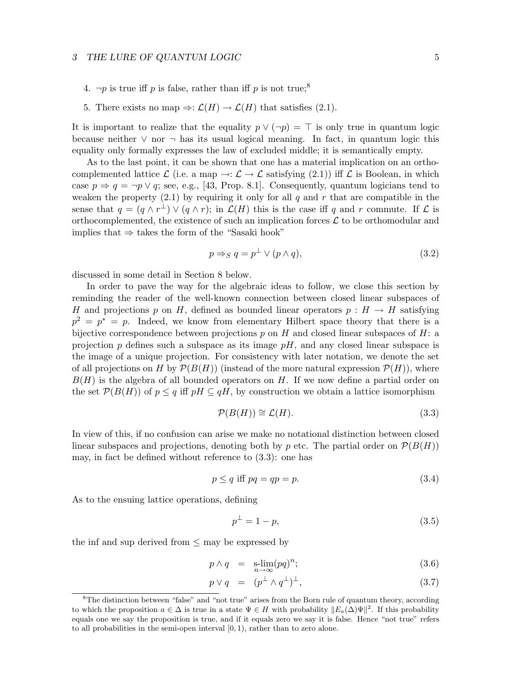#### 3 THE LURE OF QUANTUM LOGIC 5

- 4.  $\neg p$  is true iff p is false, rather than iff p is not true;<sup>8</sup>
- 5. There exists no map  $\Rightarrow: \mathcal{L}(H) \to \mathcal{L}(H)$  that satisfies (2.1).

It is important to realize that the equality  $p \vee (\neg p) = \top$  is only true in quantum logic because neither ∨ nor ¬ has its usual logical meaning. In fact, in quantum logic this equality only formally expresses the law of excluded middle; it is semantically empty.

As to the last point, it can be shown that one has a material implication on an orthocomplemented lattice  $\mathcal L$  (i.e. a map  $\to : \mathcal L \to \mathcal L$  satisfying (2.1)) iff  $\mathcal L$  is Boolean, in which case  $p \Rightarrow q = \neg p \lor q$ ; see, e.g., [43, Prop. 8.1]. Consequently, quantum logicians tend to weaken the property  $(2.1)$  by requiring it only for all q and r that are compatible in the sense that  $q = (q \wedge r^{\perp}) \vee (q \wedge r)$ ; in  $\mathcal{L}(H)$  this is the case iff q and r commute. If  $\mathcal{L}$  is orthocomplemented, the existence of such an implication forces  $\mathcal L$  to be orthomodular and implies that  $\Rightarrow$  takes the form of the "Sasaki hook"

$$
p \Rightarrow_{S} q = p^{\perp} \lor (p \land q), \tag{3.2}
$$

discussed in some detail in Section 8 below.

In order to pave the way for the algebraic ideas to follow, we close this section by reminding the reader of the well-known connection between closed linear subspaces of H and projections p on H, defined as bounded linear operators  $p : H \to H$  satisfying  $p^2 = p^* = p$ . Indeed, we know from elementary Hilbert space theory that there is a bijective correspondence between projections p on H and closed linear subspaces of H: a projection p defines such a subspace as its image  $pH$ , and any closed linear subspace is the image of a unique projection. For consistency with later notation, we denote the set of all projections on H by  $\mathcal{P}(B(H))$  (instead of the more natural expression  $\mathcal{P}(H)$ ), where  $B(H)$  is the algebra of all bounded operators on H. If we now define a partial order on the set  $\mathcal{P}(B(H))$  of  $p \leq q$  iff  $p \in H \subseteq q$ , by construction we obtain a lattice isomorphism

$$
\mathcal{P}(B(H)) \cong \mathcal{L}(H). \tag{3.3}
$$

In view of this, if no confusion can arise we make no notational distinction between closed linear subspaces and projections, denoting both by p etc. The partial order on  $\mathcal{P}(B(H))$ may, in fact be defined without reference to (3.3): one has

$$
p \le q \text{ iff } pq = qp = p. \tag{3.4}
$$

As to the ensuing lattice operations, defining

$$
p^{\perp} = 1 - p,\tag{3.5}
$$

the inf and sup derived from  $\leq$  may be expressed by

$$
p \wedge q = \text{s-lim}(pq)^n; \tag{3.6}
$$

$$
p \vee q = (p^{\perp} \wedge q^{\perp})^{\perp}, \tag{3.7}
$$

<sup>&</sup>lt;sup>8</sup>The distinction between "false" and "not true" arises from the Born rule of quantum theory, according to which the proposition  $a \in \Delta$  is true in a state  $\Psi \in H$  with probability  $||E_a(\Delta)\Psi||^2$ . If this probability equals one we say the proposition is true, and if it equals zero we say it is false. Hence "not true" refers to all probabilities in the semi-open interval  $[0, 1)$ , rather than to zero alone.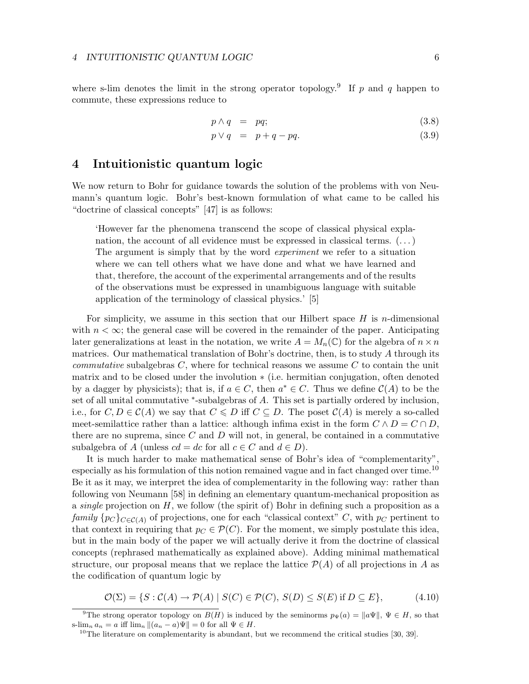where s-lim denotes the limit in the strong operator topology.<sup>9</sup> If p and q happen to commute, these expressions reduce to

$$
p \wedge q = pq; \tag{3.8}
$$

$$
p \lor q = p + q - pq. \tag{3.9}
$$

### 4 Intuitionistic quantum logic

We now return to Bohr for guidance towards the solution of the problems with von Neumann's quantum logic. Bohr's best-known formulation of what came to be called his "doctrine of classical concepts" [47] is as follows:

'However far the phenomena transcend the scope of classical physical explanation, the account of all evidence must be expressed in classical terms.  $(\dots)$ The argument is simply that by the word *experiment* we refer to a situation where we can tell others what we have done and what we have learned and that, therefore, the account of the experimental arrangements and of the results of the observations must be expressed in unambiguous language with suitable application of the terminology of classical physics.' [5]

For simplicity, we assume in this section that our Hilbert space  $H$  is n-dimensional with  $n < \infty$ ; the general case will be covered in the remainder of the paper. Anticipating later generalizations at least in the notation, we write  $A = M_n(\mathbb{C})$  for the algebra of  $n \times n$ matrices. Our mathematical translation of Bohr's doctrine, then, is to study  $A$  through its *commutative* subalgebras  $C$ , where for technical reasons we assume  $C$  to contain the unit matrix and to be closed under the involution ∗ (i.e. hermitian conjugation, often denoted by a dagger by physicists); that is, if  $a \in C$ , then  $a^* \in C$ . Thus we define  $C(A)$  to be the set of all unital commutative \*-subalgebras of A. This set is partially ordered by inclusion, i.e., for  $C, D \in \mathcal{C}(A)$  we say that  $C \le D$  iff  $C \subseteq D$ . The poset  $\mathcal{C}(A)$  is merely a so-called meet-semilattice rather than a lattice: although infima exist in the form  $C \wedge D = C \cap D$ , there are no suprema, since  $C$  and  $D$  will not, in general, be contained in a commutative subalgebra of A (unless  $cd = dc$  for all  $c \in C$  and  $d \in D$ ).

It is much harder to make mathematical sense of Bohr's idea of "complementarity", especially as his formulation of this notion remained vague and in fact changed over time.<sup>10</sup> Be it as it may, we interpret the idea of complementarity in the following way: rather than following von Neumann [58] in defining an elementary quantum-mechanical proposition as a single projection on  $H$ , we follow (the spirit of) Bohr in defining such a proposition as a family  $\{p_C\}_{C \in \mathcal{C}(A)}$  of projections, one for each "classical context" C, with  $p_C$  pertinent to that context in requiring that  $p_C \in \mathcal{P}(C)$ . For the moment, we simply postulate this idea, but in the main body of the paper we will actually derive it from the doctrine of classical concepts (rephrased mathematically as explained above). Adding minimal mathematical structure, our proposal means that we replace the lattice  $\mathcal{P}(A)$  of all projections in A as the codification of quantum logic by

$$
\mathcal{O}(\Sigma) = \{ S : \mathcal{C}(A) \to \mathcal{P}(A) \mid S(C) \in \mathcal{P}(C), S(D) \le S(E) \text{ if } D \subseteq E \},\tag{4.10}
$$

<sup>9</sup>The strong operator topology on  $B(H)$  is induced by the seminorms  $p_{\Psi}(a) = ||a\Psi||$ ,  $\Psi \in H$ , so that s-lim<sub>n</sub>  $a_n = a$  iff lim<sub>n</sub>  $\|(a_n - a)\Psi\| = 0$  for all  $\Psi \in H$ .

<sup>&</sup>lt;sup>10</sup>The literature on complementarity is abundant, but we recommend the critical studies [30, 39].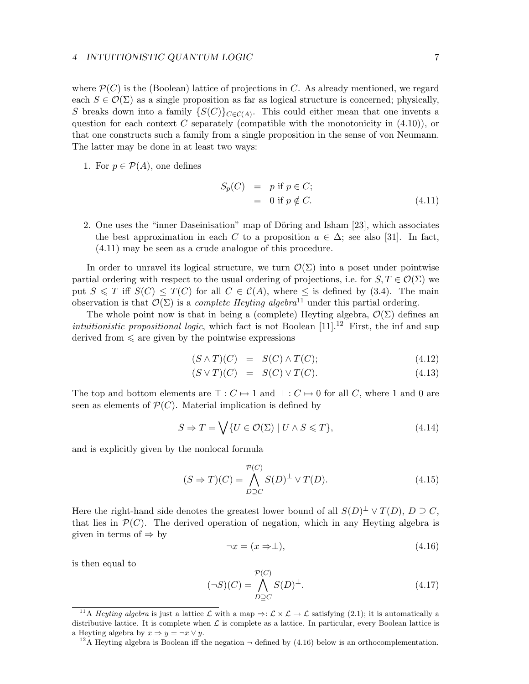#### 4 INTUITIONISTIC QUANTUM LOGIC 7

where  $\mathcal{P}(C)$  is the (Boolean) lattice of projections in C. As already mentioned, we regard each  $S \in \mathcal{O}(\Sigma)$  as a single proposition as far as logical structure is concerned; physically, S breaks down into a family  $\{S(C)\}_{C \in \mathcal{C}(A)}$ . This could either mean that one invents a question for each context  $C$  separately (compatible with the monotonicity in  $(4.10)$ ), or that one constructs such a family from a single proposition in the sense of von Neumann. The latter may be done in at least two ways:

1. For  $p \in \mathcal{P}(A)$ , one defines

$$
S_p(C) = p \text{ if } p \in C; = 0 \text{ if } p \notin C.
$$
 (4.11)

2. One uses the "inner Dase initiation" map of Döring and Isham [23], which associates the best approximation in each C to a proposition  $a \in \Delta$ ; see also [31]. In fact, (4.11) may be seen as a crude analogue of this procedure.

In order to unravel its logical structure, we turn  $\mathcal{O}(\Sigma)$  into a poset under pointwise partial ordering with respect to the usual ordering of projections, i.e. for  $S, T \in \mathcal{O}(\Sigma)$  we put  $S \leq T$  iff  $S(C) \leq T(C)$  for all  $C \in C(A)$ , where  $\leq$  is defined by (3.4). The main observation is that  $\mathcal{O}(\Sigma)$  is a *complete Heyting algebra*<sup>11</sup> under this partial ordering.

The whole point now is that in being a (complete) Heyting algebra,  $\mathcal{O}(\Sigma)$  defines an *intuitionistic propositional logic*, which fact is not Boolean  $[11]$ .<sup>12</sup> First, the inf and sup derived from  $\leq$  are given by the pointwise expressions

$$
(S \wedge T)(C) = S(C) \wedge T(C); \qquad (4.12)
$$

$$
(S \vee T)(C) = S(C) \vee T(C). \tag{4.13}
$$

The top and bottom elements are  $\top : C \mapsto 1$  and  $\bot : C \mapsto 0$  for all C, where 1 and 0 are seen as elements of  $\mathcal{P}(C)$ . Material implication is defined by

$$
S \Rightarrow T = \bigvee \{ U \in \mathcal{O}(\Sigma) \mid U \wedge S \leqslant T \},\tag{4.14}
$$

and is explicitly given by the nonlocal formula

$$
(S \Rightarrow T)(C) = \bigwedge_{D \supseteq C}^{\mathcal{P}(C)} S(D)^{\perp} \vee T(D). \tag{4.15}
$$

Here the right-hand side denotes the greatest lower bound of all  $S(D)^{\perp} \vee T(D)$ ,  $D \supseteq C$ , that lies in  $\mathcal{P}(C)$ . The derived operation of negation, which in any Heyting algebra is given in terms of  $\Rightarrow$  by

$$
\neg x = (x \Rightarrow \perp),\tag{4.16}
$$

is then equal to

$$
(\neg S)(C) = \bigwedge_{D \supseteq C}^{\mathcal{P}(C)} S(D)^{\perp}.
$$
\n(4.17)

<sup>12</sup>A Heyting algebra is Boolean iff the negation  $\neg$  defined by (4.16) below is an orthocomplementation.

<sup>&</sup>lt;sup>11</sup>A Heyting algebra is just a lattice L with a map  $\Rightarrow: \mathcal{L} \times \mathcal{L} \rightarrow \mathcal{L}$  satisfying (2.1); it is automatically a distributive lattice. It is complete when  $\mathcal L$  is complete as a lattice. In particular, every Boolean lattice is a Heyting algebra by  $x \Rightarrow y = \neg x \lor y$ .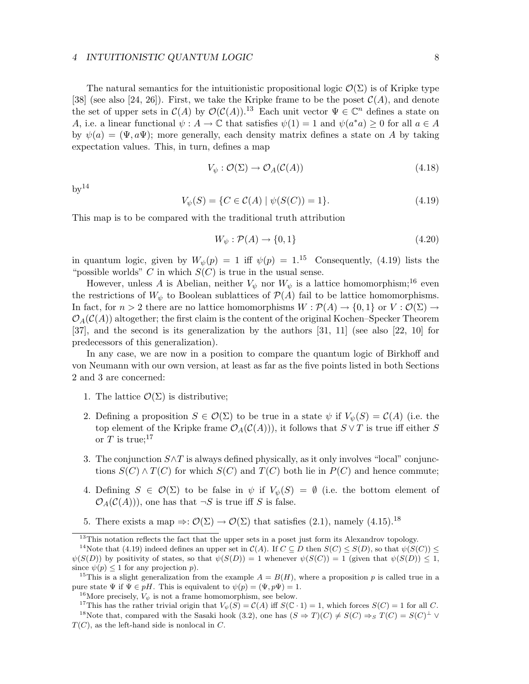#### 4 INTUITIONISTIC QUANTUM LOGIC 8

The natural semantics for the intuitionistic propositional logic  $\mathcal{O}(\Sigma)$  is of Kripke type [38] (see also [24, 26]). First, we take the Kripke frame to be the poset  $\mathcal{C}(A)$ , and denote the set of upper sets in  $\mathcal{C}(A)$  by  $\mathcal{O}(\mathcal{C}(A))$ .<sup>13</sup> Each unit vector  $\Psi \in \mathbb{C}^n$  defines a state on A, i.e. a linear functional  $\psi : A \to \mathbb{C}$  that satisfies  $\psi(1) = 1$  and  $\psi(a^*a) \geq 0$  for all  $a \in A$ by  $\psi(a) = (\Psi, a\Psi)$ ; more generally, each density matrix defines a state on A by taking expectation values. This, in turn, defines a map

$$
V_{\psi}: \mathcal{O}(\Sigma) \to \mathcal{O}_A(\mathcal{C}(A)) \tag{4.18}
$$

 $bv^{14}$ 

$$
V_{\psi}(S) = \{ C \in \mathcal{C}(A) \mid \psi(S(C)) = 1 \}. \tag{4.19}
$$

This map is to be compared with the traditional truth attribution

$$
W_{\psi} : \mathcal{P}(A) \to \{0, 1\} \tag{4.20}
$$

in quantum logic, given by  $W_{\psi}(p) = 1$  iff  $\psi(p) = 1^{15}$  Consequently, (4.19) lists the "possible worlds" C in which  $S(C)$  is true in the usual sense.

However, unless A is Abelian, neither  $V_{\psi}$  nor  $W_{\psi}$  is a lattice homomorphism;<sup>16</sup> even the restrictions of  $W_{\psi}$  to Boolean sublattices of  $\mathcal{P}(A)$  fail to be lattice homomorphisms. In fact, for  $n > 2$  there are no lattice homomorphisms  $W : \mathcal{P}(A) \to \{0,1\}$  or  $V : \mathcal{O}(\Sigma) \to$  $\mathcal{O}_A(\mathcal{C}(A))$  altogether; the first claim is the content of the original Kochen–Specker Theorem [37], and the second is its generalization by the authors [31, 11] (see also [22, 10] for predecessors of this generalization).

In any case, we are now in a position to compare the quantum logic of Birkhoff and von Neumann with our own version, at least as far as the five points listed in both Sections 2 and 3 are concerned:

- 1. The lattice  $\mathcal{O}(\Sigma)$  is distributive;
- 2. Defining a proposition  $S \in \mathcal{O}(\Sigma)$  to be true in a state  $\psi$  if  $V_{\psi}(S) = \mathcal{C}(A)$  (i.e. the top element of the Kripke frame  $\mathcal{O}_A(\mathcal{C}(A)))$ , it follows that  $S \vee T$  is true iff either S or T is true;<sup>17</sup>
- 3. The conjunction  $S \wedge T$  is always defined physically, as it only involves "local" conjunctions  $S(C) \wedge T(C)$  for which  $S(C)$  and  $T(C)$  both lie in  $P(C)$  and hence commute;
- 4. Defining  $S \in \mathcal{O}(\Sigma)$  to be false in  $\psi$  if  $V_{\psi}(S) = \emptyset$  (i.e. the bottom element of  $\mathcal{O}_A(\mathcal{C}(A)))$ , one has that  $\neg S$  is true iff S is false.
- 5. There exists a map  $\Rightarrow: \mathcal{O}(\Sigma) \to \mathcal{O}(\Sigma)$  that satisfies (2.1), namely (4.15).<sup>18</sup>

<sup>16</sup>More precisely,  $V_{\psi}$  is not a frame homomorphism, see below.

<sup>17</sup>This has the rather trivial origin that  $V_{\psi}(S) = C(A)$  iff  $S(\mathbb{C} \cdot 1) = 1$ , which forces  $S(C) = 1$  for all C. <sup>18</sup>Note that, compared with the Sasaki hook (3.2), one has  $(S \Rightarrow T)(C) \neq S(C) \Rightarrow_S T(C) = S(C)^{\perp} \vee$  $T(C)$ , as the left-hand side is nonlocal in C.

<sup>&</sup>lt;sup>13</sup>This notation reflects the fact that the upper sets in a poset just form its Alexandrov topology.

<sup>&</sup>lt;sup>14</sup>Note that (4.19) indeed defines an upper set in  $\mathcal{C}(A)$ . If  $C \subseteq D$  then  $S(C) \leq S(D)$ , so that  $\psi(S(C)) \leq$  $\psi(S(D))$  by positivity of states, so that  $\psi(S(D)) = 1$  whenever  $\psi(S(C)) = 1$  (given that  $\psi(S(D)) \leq 1$ , since  $\psi(p) \leq 1$  for any projection p).

<sup>&</sup>lt;sup>15</sup>This is a slight generalization from the example  $A = B(H)$ , where a proposition p is called true in a pure state  $\Psi$  if  $\Psi \in pH$ . This is equivalent to  $\psi(p) = (\Psi, p\Psi) = 1$ .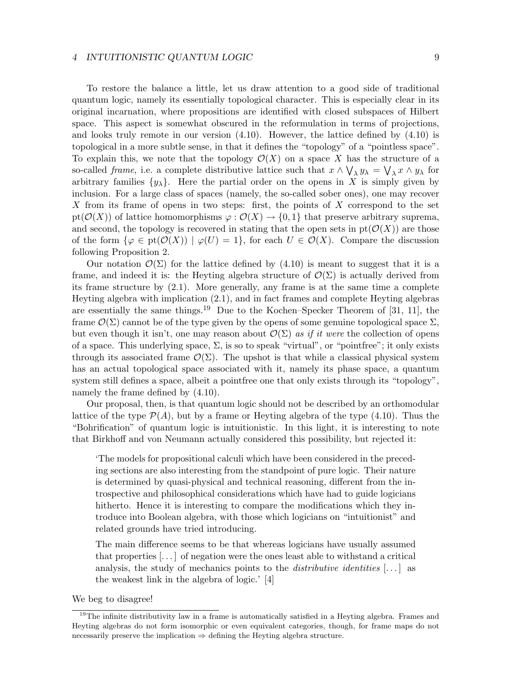#### 4 INTUITIONISTIC QUANTUM LOGIC 9

To restore the balance a little, let us draw attention to a good side of traditional quantum logic, namely its essentially topological character. This is especially clear in its original incarnation, where propositions are identified with closed subspaces of Hilbert space. This aspect is somewhat obscured in the reformulation in terms of projections, and looks truly remote in our version (4.10). However, the lattice defined by (4.10) is topological in a more subtle sense, in that it defines the "topology" of a "pointless space". To explain this, we note that the topology  $\mathcal{O}(X)$  on a space X has the structure of a so-called *frame*, i.e. a complete distributive lattice such that  $x \wedge \bigvee_{\lambda} y_{\lambda} = \bigvee_{\lambda} x \wedge y_{\lambda}$  for arbitrary families  $\{y_\lambda\}$ . Here the partial order on the opens in X is simply given by inclusion. For a large class of spaces (namely, the so-called sober ones), one may recover X from its frame of opens in two steps: first, the points of X correspond to the set  $pt(\mathcal{O}(X))$  of lattice homomorphisms  $\varphi : \mathcal{O}(X) \to \{0,1\}$  that preserve arbitrary suprema, and second, the topology is recovered in stating that the open sets in  $pt(\mathcal{O}(X))$  are those of the form  $\{\varphi \in \text{pt}(\mathcal{O}(X)) \mid \varphi(U) = 1\}$ , for each  $U \in \mathcal{O}(X)$ . Compare the discussion following Proposition 2.

Our notation  $\mathcal{O}(\Sigma)$  for the lattice defined by (4.10) is meant to suggest that it is a frame, and indeed it is: the Heyting algebra structure of  $\mathcal{O}(\Sigma)$  is actually derived from its frame structure by (2.1). More generally, any frame is at the same time a complete Heyting algebra with implication (2.1), and in fact frames and complete Heyting algebras are essentially the same things.<sup>19</sup> Due to the Kochen–Specker Theorem of [31, 11], the frame  $\mathcal{O}(\Sigma)$  cannot be of the type given by the opens of some genuine topological space  $\Sigma$ , but even though it isn't, one may reason about  $\mathcal{O}(\Sigma)$  as if it were the collection of opens of a space. This underlying space,  $\Sigma$ , is so to speak "virtual", or "pointfree"; it only exists through its associated frame  $\mathcal{O}(\Sigma)$ . The upshot is that while a classical physical system has an actual topological space associated with it, namely its phase space, a quantum system still defines a space, albeit a pointfree one that only exists through its "topology", namely the frame defined by (4.10).

Our proposal, then, is that quantum logic should not be described by an orthomodular lattice of the type  $\mathcal{P}(A)$ , but by a frame or Heyting algebra of the type (4.10). Thus the "Bohrification" of quantum logic is intuitionistic. In this light, it is interesting to note that Birkhoff and von Neumann actually considered this possibility, but rejected it:

'The models for propositional calculi which have been considered in the preceding sections are also interesting from the standpoint of pure logic. Their nature is determined by quasi-physical and technical reasoning, different from the introspective and philosophical considerations which have had to guide logicians hitherto. Hence it is interesting to compare the modifications which they introduce into Boolean algebra, with those which logicians on "intuitionist" and related grounds have tried introducing.

The main difference seems to be that whereas logicians have usually assumed that properties [. . . ] of negation were the ones least able to withstand a critical analysis, the study of mechanics points to the *distributive identities*  $[\dots]$  as the weakest link in the algebra of logic.' [4]

We beg to disagree!

 $19$ The infinite distributivity law in a frame is automatically satisfied in a Heyting algebra. Frames and Heyting algebras do not form isomorphic or even equivalent categories, though, for frame maps do not necessarily preserve the implication  $\Rightarrow$  defining the Heyting algebra structure.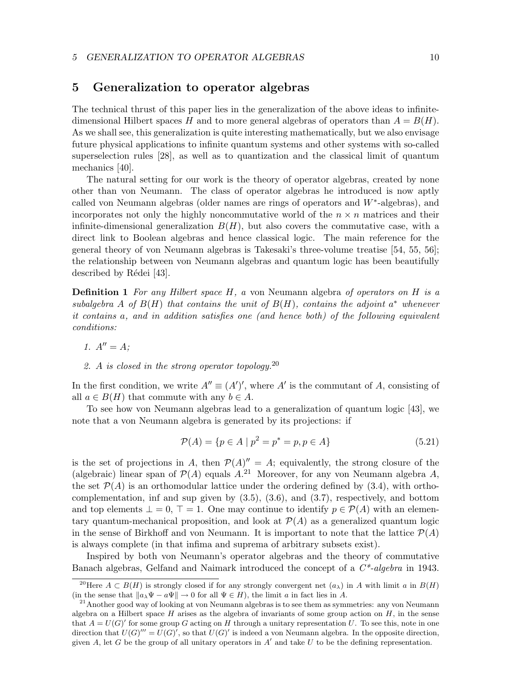## 5 Generalization to operator algebras

The technical thrust of this paper lies in the generalization of the above ideas to infinitedimensional Hilbert spaces H and to more general algebras of operators than  $A = B(H)$ . As we shall see, this generalization is quite interesting mathematically, but we also envisage future physical applications to infinite quantum systems and other systems with so-called superselection rules [28], as well as to quantization and the classical limit of quantum mechanics [40].

The natural setting for our work is the theory of operator algebras, created by none other than von Neumann. The class of operator algebras he introduced is now aptly called von Neumann algebras (older names are rings of operators and  $W^*$ -algebras), and incorporates not only the highly noncommutative world of the  $n \times n$  matrices and their infinite-dimensional generalization  $B(H)$ , but also covers the commutative case, with a direct link to Boolean algebras and hence classical logic. The main reference for the general theory of von Neumann algebras is Takesaki's three-volume treatise [54, 55, 56]; the relationship between von Neumann algebras and quantum logic has been beautifully described by Rédei [43].

**Definition 1** For any Hilbert space  $H$ , a von Neumann algebra of operators on  $H$  is a subalgebra A of  $B(H)$  that contains the unit of  $B(H)$ , contains the adjoint  $a^*$  whenever it contains a, and in addition satisfies one (and hence both) of the following equivalent conditions:

- 1.  $A'' = A$ ;
- 2. A is closed in the strong operator topology.  $2^0$

In the first condition, we write  $A'' \equiv (A')'$ , where A' is the commutant of A, consisting of all  $a \in B(H)$  that commute with any  $b \in A$ .

To see how von Neumann algebras lead to a generalization of quantum logic [43], we note that a von Neumann algebra is generated by its projections: if

$$
\mathcal{P}(A) = \{ p \in A \mid p^2 = p^* = p, p \in A \}
$$
\n(5.21)

is the set of projections in A, then  $\mathcal{P}(A)'' = A$ ; equivalently, the strong closure of the (algebraic) linear span of  $\mathcal{P}(A)$  equals  $A^{21}$ . Moreover, for any von Neumann algebra A, the set  $\mathcal{P}(A)$  is an orthomodular lattice under the ordering defined by (3.4), with orthocomplementation, inf and sup given by  $(3.5)$ ,  $(3.6)$ , and  $(3.7)$ , respectively, and bottom and top elements  $\bot = 0$ ,  $\top = 1$ . One may continue to identify  $p \in \mathcal{P}(A)$  with an elementary quantum-mechanical proposition, and look at  $\mathcal{P}(A)$  as a generalized quantum logic in the sense of Birkhoff and von Neumann. It is important to note that the lattice  $\mathcal{P}(A)$ is always complete (in that infima and suprema of arbitrary subsets exist).

Inspired by both von Neumann's operator algebras and the theory of commutative Banach algebras, Gelfand and Naimark introduced the concept of a  $C^*$ -algebra in 1943.

<sup>&</sup>lt;sup>20</sup>Here  $A \subset B(H)$  is strongly closed if for any strongly convergent net  $(a_{\lambda})$  in A with limit a in  $B(H)$ (in the sense that  $||a_\lambda \Psi - a\Psi|| \to 0$  for all  $\Psi \in H$ ), the limit a in fact lies in A.

 $21$ Another good way of looking at von Neumann algebras is to see them as symmetries: any von Neumann algebra on a Hilbert space  $H$  arises as the algebra of invariants of some group action on  $H$ , in the sense that  $A = U(G)'$  for some group G acting on H through a unitary representation U. To see this, note in one direction that  $U(G)'' = U(G)'$ , so that  $U(G)'$  is indeed a von Neumann algebra. In the opposite direction, given A, let G be the group of all unitary operators in  $A'$  and take U to be the defining representation.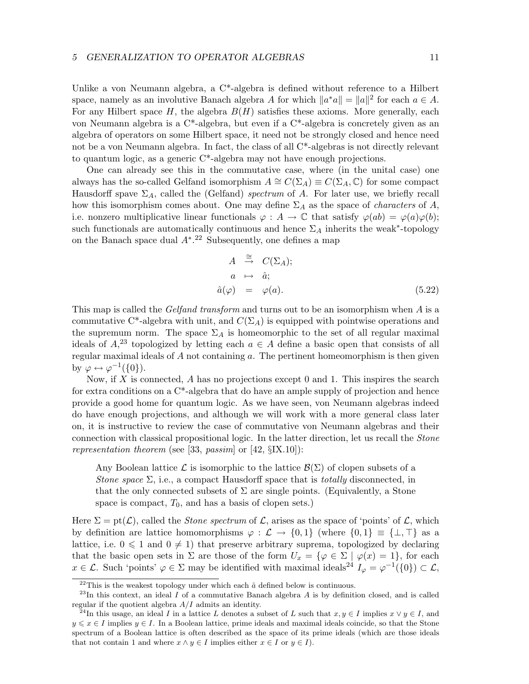Unlike a von Neumann algebra, a C\*-algebra is defined without reference to a Hilbert space, namely as an involutive Banach algebra A for which  $||a^*a|| = ||a||^2$  for each  $a \in A$ . For any Hilbert space  $H$ , the algebra  $B(H)$  satisfies these axioms. More generally, each von Neumann algebra is a C\*-algebra, but even if a C\*-algebra is concretely given as an algebra of operators on some Hilbert space, it need not be strongly closed and hence need not be a von Neumann algebra. In fact, the class of all C\*-algebras is not directly relevant to quantum logic, as a generic  $C^*$ -algebra may not have enough projections.

One can already see this in the commutative case, where (in the unital case) one always has the so-called Gelfand isomorphism  $A \cong C(\Sigma_A) \equiv C(\Sigma_A, \mathbb{C})$  for some compact Hausdorff spave  $\Sigma_A$ , called the (Gelfand) spectrum of A. For later use, we briefly recall how this isomorphism comes about. One may define  $\Sigma_A$  as the space of *characters* of A, i.e. nonzero multiplicative linear functionals  $\varphi : A \to \mathbb{C}$  that satisfy  $\varphi(ab) = \varphi(a)\varphi(b)$ ; such functionals are automatically continuous and hence  $\Sigma_A$  inherits the weak<sup>\*</sup>-topology on the Banach space dual  $A^*$ <sup>22</sup> Subsequently, one defines a map

$$
A \stackrel{\cong}{\rightarrow} C(\Sigma_A);
$$
  
\n $a \mapsto \hat{a};$   
\n $\hat{a}(\varphi) = \varphi(a).$  (5.22)

This map is called the *Gelfand transform* and turns out to be an isomorphism when A is a commutative C<sup>\*</sup>-algebra with unit, and  $C(\Sigma_A)$  is equipped with pointwise operations and the supremum norm. The space  $\Sigma_A$  is homeomorphic to the set of all regular maximal ideals of  $A<sup>23</sup>$  topologized by letting each  $a \in A$  define a basic open that consists of all regular maximal ideals of  $A$  not containing  $a$ . The pertinent homeomorphism is then given by  $\varphi \leftrightarrow \varphi^{-1}(\{0\}).$ 

Now, if  $X$  is connected,  $A$  has no projections except 0 and 1. This inspires the search for extra conditions on a  $C^*$ -algebra that do have an ample supply of projection and hence provide a good home for quantum logic. As we have seen, von Neumann algebras indeed do have enough projections, and although we will work with a more general class later on, it is instructive to review the case of commutative von Neumann algebras and their connection with classical propositional logic. In the latter direction, let us recall the Stone representation theorem (see [33, passim] or [42,  $\S$ IX.10]):

Any Boolean lattice  $\mathcal L$  is isomorphic to the lattice  $\mathcal B(\Sigma)$  of clopen subsets of a Stone space  $\Sigma$ , i.e., a compact Hausdorff space that is totally disconnected, in that the only connected subsets of  $\Sigma$  are single points. (Equivalently, a Stone space is compact,  $T_0$ , and has a basis of clopen sets.)

Here  $\Sigma = \text{pt}(\mathcal{L})$ , called the *Stone spectrum* of  $\mathcal{L}$ , arises as the space of 'points' of  $\mathcal{L}$ , which by definition are lattice homomorphisms  $\varphi : \mathcal{L} \to \{0,1\}$  (where  $\{0,1\} \equiv \{\perp,\top\}$  as a lattice, i.e.  $0 \leq 1$  and  $0 \neq 1$ ) that preserve arbitrary suprema, topologized by declaring that the basic open sets in  $\Sigma$  are those of the form  $U_x = {\varphi \in \Sigma \mid \varphi(x) = 1}$ , for each  $x \in \mathcal{L}$ . Such 'points'  $\varphi \in \Sigma$  may be identified with maximal ideals<sup>24</sup>  $I_{\varphi} = \varphi^{-1}(\{0\}) \subset \mathcal{L}$ ,

 $22$ This is the weakest topology under which each  $\hat{a}$  defined below is continuous.

 $^{23}$ In this context, an ideal I of a commutative Banach algebra A is by definition closed, and is called regular if the quotient algebra  $A/I$  admits an identity.

<sup>&</sup>lt;sup>24</sup>In this usage, an ideal I in a lattice L denotes a subset of L such that  $x, y \in I$  implies  $x \vee y \in I$ , and  $y \leq x \in I$  implies  $y \in I$ . In a Boolean lattice, prime ideals and maximal ideals coincide, so that the Stone spectrum of a Boolean lattice is often described as the space of its prime ideals (which are those ideals that not contain 1 and where  $x \wedge y \in I$  implies either  $x \in I$  or  $y \in I$ ).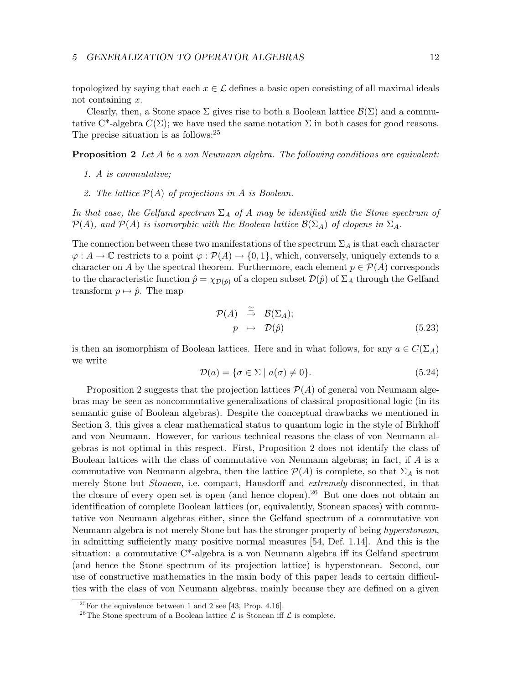#### 5 GENERALIZATION TO OPERATOR ALGEBRAS 12

topologized by saying that each  $x \in \mathcal{L}$  defines a basic open consisting of all maximal ideals not containing x.

Clearly, then, a Stone space  $\Sigma$  gives rise to both a Boolean lattice  $\mathcal{B}(\Sigma)$  and a commutative C<sup>\*</sup>-algebra  $C(\Sigma)$ ; we have used the same notation  $\Sigma$  in both cases for good reasons. The precise situation is as follows:  $2<sup>5</sup>$ 

**Proposition 2** Let A be a von Neumann algebra. The following conditions are equivalent:

- 1. A is commutative;
- 2. The lattice  $\mathcal{P}(A)$  of projections in A is Boolean.

In that case, the Gelfand spectrum  $\Sigma_A$  of A may be identified with the Stone spectrum of  $\mathcal{P}(A)$ , and  $\mathcal{P}(A)$  is isomorphic with the Boolean lattice  $\mathcal{B}(\Sigma_A)$  of clopens in  $\Sigma_A$ .

The connection between these two manifestations of the spectrum  $\Sigma_A$  is that each character  $\varphi: A \to \mathbb{C}$  restricts to a point  $\varphi: \mathcal{P}(A) \to \{0,1\}$ , which, conversely, uniquely extends to a character on A by the spectral theorem. Furthermore, each element  $p \in \mathcal{P}(A)$  corresponds to the characteristic function  $\hat{p} = \chi_{\mathcal{D}(\hat{p})}$  of a clopen subset  $\mathcal{D}(\hat{p})$  of  $\Sigma_A$  through the Gelfand transform  $p \mapsto \hat{p}$ . The map

$$
\mathcal{P}(A) \stackrel{\cong}{\to} \mathcal{B}(\Sigma_A);
$$
  
\n
$$
p \mapsto \mathcal{D}(\hat{p})
$$
\n(5.23)

is then an isomorphism of Boolean lattices. Here and in what follows, for any  $a \in C(\Sigma_A)$ we write

$$
\mathcal{D}(a) = \{ \sigma \in \Sigma \mid a(\sigma) \neq 0 \}. \tag{5.24}
$$

Proposition 2 suggests that the projection lattices  $\mathcal{P}(A)$  of general von Neumann algebras may be seen as noncommutative generalizations of classical propositional logic (in its semantic guise of Boolean algebras). Despite the conceptual drawbacks we mentioned in Section 3, this gives a clear mathematical status to quantum logic in the style of Birkhoff and von Neumann. However, for various technical reasons the class of von Neumann algebras is not optimal in this respect. First, Proposition 2 does not identify the class of Boolean lattices with the class of commutative von Neumann algebras; in fact, if A is a commutative von Neumann algebra, then the lattice  $\mathcal{P}(A)$  is complete, so that  $\Sigma_A$  is not merely Stone but *Stonean*, i.e. compact, Hausdorff and *extremely* disconnected, in that the closure of every open set is open (and hence clopen).<sup>26</sup> But one does not obtain an identification of complete Boolean lattices (or, equivalently, Stonean spaces) with commutative von Neumann algebras either, since the Gelfand spectrum of a commutative von Neumann algebra is not merely Stone but has the stronger property of being *hyperstonean*, in admitting sufficiently many positive normal measures [54, Def. 1.14]. And this is the situation: a commutative C\*-algebra is a von Neumann algebra iff its Gelfand spectrum (and hence the Stone spectrum of its projection lattice) is hyperstonean. Second, our use of constructive mathematics in the main body of this paper leads to certain difficulties with the class of von Neumann algebras, mainly because they are defined on a given

 $25$ For the equivalence between 1 and 2 see [43, Prop. 4.16].

<sup>&</sup>lt;sup>26</sup>The Stone spectrum of a Boolean lattice  $\mathcal L$  is Stonean iff  $\mathcal L$  is complete.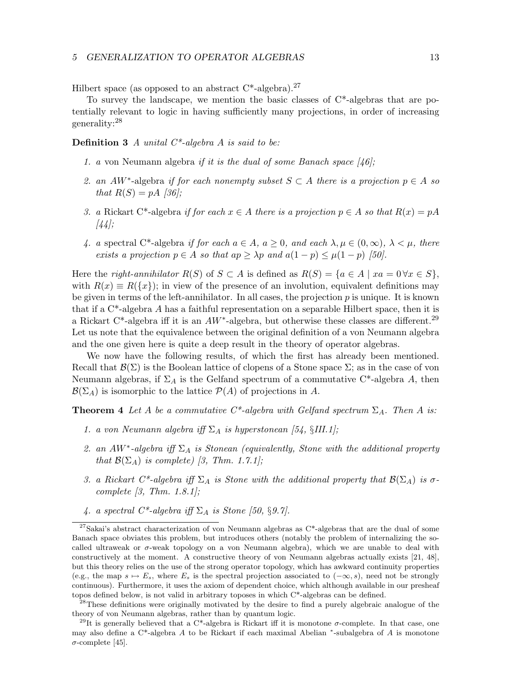#### 5 GENERALIZATION TO OPERATOR ALGEBRAS 13

Hilbert space (as opposed to an abstract  $C^*$ -algebra).<sup>27</sup>

To survey the landscape, we mention the basic classes of C\*-algebras that are potentially relevant to logic in having sufficiently many projections, in order of increasing generality:<sup>28</sup>

**Definition 3** A unital  $C^*$ -algebra A is said to be:

- 1. a von Neumann algebra if it is the dual of some Banach space  $\frac{1}{6}$ ;
- 2. an AW<sup>\*</sup>-algebra if for each nonempty subset  $S \subset A$  there is a projection  $p \in A$  so that  $R(S) = pA$  [36];
- 3. a Rickart C\*-algebra if for each  $x \in A$  there is a projection  $p \in A$  so that  $R(x) = pA$ [44];
- 4. a spectral C\*-algebra if for each  $a \in A$ ,  $a \geq 0$ , and each  $\lambda, \mu \in (0, \infty)$ ,  $\lambda < \mu$ , there exists a projection  $p \in A$  so that  $ap \geq \lambda p$  and  $a(1-p) \leq \mu(1-p)$  [50].

Here the right-annihilator  $R(S)$  of  $S \subset A$  is defined as  $R(S) = \{a \in A \mid xa = 0 \forall x \in S\}$ , with  $R(x) \equiv R(\lbrace x \rbrace)$ ; in view of the presence of an involution, equivalent definitions may be given in terms of the left-annihilator. In all cases, the projection  $p$  is unique. It is known that if a  $C^*$ -algebra A has a faithful representation on a separable Hilbert space, then it is a Rickart C<sup>\*</sup>-algebra iff it is an  $AW^*$ -algebra, but otherwise these classes are different.<sup>29</sup> Let us note that the equivalence between the original definition of a von Neumann algebra and the one given here is quite a deep result in the theory of operator algebras.

We now have the following results, of which the first has already been mentioned. Recall that  $\mathcal{B}(\Sigma)$  is the Boolean lattice of clopens of a Stone space  $\Sigma$ ; as in the case of von Neumann algebras, if  $\Sigma_A$  is the Gelfand spectrum of a commutative C<sup>\*</sup>-algebra A, then  $\mathcal{B}(\Sigma_A)$  is isomorphic to the lattice  $\mathcal{P}(A)$  of projections in A.

**Theorem 4** Let A be a commutative  $C^*$ -algebra with Gelfand spectrum  $\Sigma_A$ . Then A is:

- 1. a von Neumann algebra iff  $\Sigma_A$  is hyperstonean [54, §III.1];
- 2. an  $AW^*$ -algebra iff  $\Sigma_A$  is Stonean (equivalently, Stone with the additional property that  $\mathcal{B}(\Sigma_A)$  is complete) [3, Thm. 1.7.1];
- 3. a Rickart C\*-algebra iff  $\Sigma_A$  is Stone with the additional property that  $\mathcal{B}(\Sigma_A)$  is  $\sigma$ complete  $[3, Thm. 1.8.1]$ ;
- 4. a spectral  $C^*$ -algebra iff  $\Sigma_A$  is Stone [50, §9.7].

<sup>&</sup>lt;sup>27</sup>Sakai's abstract characterization of von Neumann algebras as  $C^*$ -algebras that are the dual of some Banach space obviates this problem, but introduces others (notably the problem of internalizing the socalled ultraweak or  $\sigma$ -weak topology on a von Neumann algebra), which we are unable to deal with constructively at the moment. A constructive theory of von Neumann algebras actually exists [21, 48], but this theory relies on the use of the strong operator topology, which has awkward continuity properties (e.g., the map  $s \mapsto E_s$ , where  $E_s$  is the spectral projection associated to  $(-\infty, s)$ , need not be strongly continuous). Furthermore, it uses the axiom of dependent choice, which although available in our presheaf topos defined below, is not valid in arbitrary toposes in which C\*-algebras can be defined.

<sup>&</sup>lt;sup>28</sup>These definitions were originally motivated by the desire to find a purely algebraic analogue of the theory of von Neumann algebras, rather than by quantum logic.

<sup>&</sup>lt;sup>29</sup>It is generally believed that a C<sup>\*</sup>-algebra is Rickart iff it is monotone  $\sigma$ -complete. In that case, one may also define a C<sup>\*</sup>-algebra A to be Rickart if each maximal Abelian <sup>\*</sup>-subalgebra of A is monotone σ-complete [45].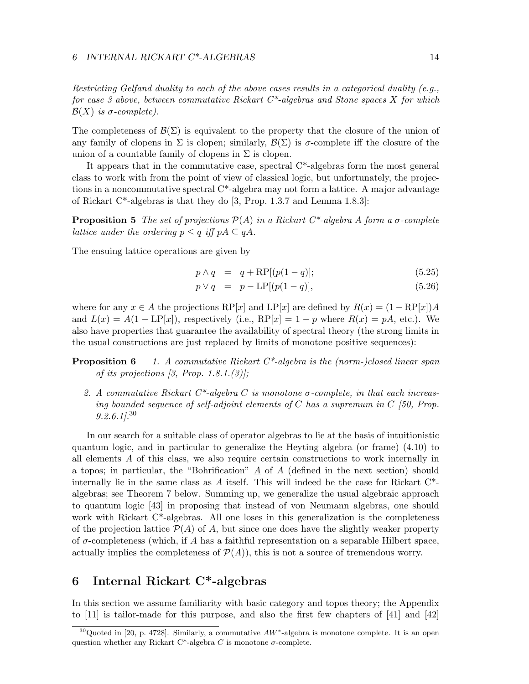Restricting Gelfand duality to each of the above cases results in a categorical duality (e.g., for case 3 above, between commutative Rickart  $C^*$ -algebras and Stone spaces X for which  $\mathcal{B}(X)$  is  $\sigma$ -complete).

The completeness of  $\mathcal{B}(\Sigma)$  is equivalent to the property that the closure of the union of any family of clopens in  $\Sigma$  is clopen; similarly,  $\mathcal{B}(\Sigma)$  is  $\sigma$ -complete iff the closure of the union of a countable family of clopens in  $\Sigma$  is clopen.

It appears that in the commutative case, spectral C\*-algebras form the most general class to work with from the point of view of classical logic, but unfortunately, the projections in a noncommutative spectral C\*-algebra may not form a lattice. A major advantage of Rickart C\*-algebras is that they do [3, Prop. 1.3.7 and Lemma 1.8.3]:

**Proposition 5** The set of projections  $\mathcal{P}(A)$  in a Rickart C\*-algebra A form a  $\sigma$ -complete lattice under the ordering  $p \leq q$  iff  $pA \subseteq qA$ .

The ensuing lattice operations are given by

$$
p \wedge q = q + \text{RP}[(p(1-q)]; \qquad (5.25)
$$

$$
p \lor q = p - \text{LP}[(p(1-q)], \tag{5.26})
$$

where for any  $x \in A$  the projections  $RP[x]$  and  $LP[x]$  are defined by  $R(x) = (1 - RP[x])A$ and  $L(x) = A(1 - \text{LP}[x])$ , respectively (i.e.,  $\text{RP}[x] = 1 - p$  where  $R(x) = pA$ , etc.). We also have properties that guarantee the availability of spectral theory (the strong limits in the usual constructions are just replaced by limits of monotone positive sequences):

**Proposition 6** 1. A commutative Rickart  $C^*$ -algebra is the (norm-)closed linear span of its projections  $(3, Prop. 1.8.1. (3))$ ;

2. A commutative Rickart  $C^*$ -algebra C is monotone  $\sigma$ -complete, in that each increasing bounded sequence of self-adjoint elements of C has a supremum in C [50, Prop.  $9.2.6.1$ <sup>30</sup>

In our search for a suitable class of operator algebras to lie at the basis of intuitionistic quantum logic, and in particular to generalize the Heyting algebra (or frame) (4.10) to all elements A of this class, we also require certain constructions to work internally in a topos; in particular, the "Bohrification"  $\tilde{A}$  of  $\tilde{A}$  (defined in the next section) should internally lie in the same class as  $A$  itself. This will indeed be the case for Rickart  $C^*$ algebras; see Theorem 7 below. Summing up, we generalize the usual algebraic approach to quantum logic [43] in proposing that instead of von Neumann algebras, one should work with Rickart C\*-algebras. All one loses in this generalization is the completeness of the projection lattice  $\mathcal{P}(A)$  of A, but since one does have the slightly weaker property of  $\sigma$ -completeness (which, if A has a faithful representation on a separable Hilbert space, actually implies the completeness of  $\mathcal{P}(A)$ , this is not a source of tremendous worry.

# 6 Internal Rickart C\*-algebras

In this section we assume familiarity with basic category and topos theory; the Appendix to [11] is tailor-made for this purpose, and also the first few chapters of [41] and [42]

<sup>&</sup>lt;sup>30</sup>Quoted in [20, p. 4728]. Similarly, a commutative  $AW^*$ -algebra is monotone complete. It is an open question whether any Rickart C\*-algebra C is monotone  $\sigma$ -complete.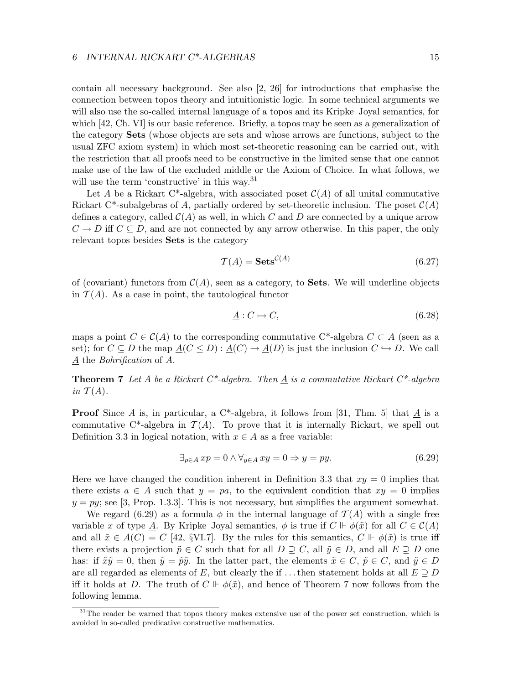contain all necessary background. See also [2, 26] for introductions that emphasise the connection between topos theory and intuitionistic logic. In some technical arguments we will also use the so-called internal language of a topos and its Kripke–Joyal semantics, for which [42, Ch. VI] is our basic reference. Briefly, a topos may be seen as a generalization of the category Sets (whose objects are sets and whose arrows are functions, subject to the usual ZFC axiom system) in which most set-theoretic reasoning can be carried out, with the restriction that all proofs need to be constructive in the limited sense that one cannot make use of the law of the excluded middle or the Axiom of Choice. In what follows, we will use the term 'constructive' in this way.<sup>31</sup>

Let A be a Rickart C\*-algebra, with associated poset  $\mathcal{C}(A)$  of all unital commutative Rickart C<sup>\*</sup>-subalgebras of A, partially ordered by set-theoretic inclusion. The poset  $\mathcal{C}(A)$ defines a category, called  $\mathcal{C}(A)$  as well, in which C and D are connected by a unique arrow  $C \to D$  iff  $C \subseteq D$ , and are not connected by any arrow otherwise. In this paper, the only relevant topos besides Sets is the category

$$
\mathcal{T}(A) = \mathbf{Sets}^{\mathcal{C}(A)}\tag{6.27}
$$

of (covariant) functors from  $\mathcal{C}(A)$ , seen as a category, to **Sets**. We will underline objects in  $\mathcal{T}(A)$ . As a case in point, the tautological functor

$$
\underline{A}: C \mapsto C,\tag{6.28}
$$

maps a point  $C \in \mathcal{C}(A)$  to the corresponding commutative C<sup>\*</sup>-algebra  $C \subset A$  (seen as a set); for  $C \subseteq D$  the map  $\underline{A}(C \leq D) : \underline{A}(C) \to \underline{A}(D)$  is just the inclusion  $C \hookrightarrow D$ . We call  $\underline{A}$  the *Bohrification* of  $A$ .

**Theorem 7** Let A be a Rickart  $C^*$ -algebra. Then  $\underline{A}$  is a commutative Rickart  $C^*$ -algebra in  $\mathcal{T}(A)$ .

**Proof** Since A is, in particular, a C<sup>\*</sup>-algebra, it follows from [31, Thm. 5] that  $\underline{A}$  is a commutative C<sup>\*</sup>-algebra in  $\mathcal{T}(A)$ . To prove that it is internally Rickart, we spell out Definition 3.3 in logical notation, with  $x \in A$  as a free variable:

$$
\exists_{p \in A} \, xp = 0 \land \forall_{y \in A} \, xy = 0 \Rightarrow y = py. \tag{6.29}
$$

Here we have changed the condition inherent in Definition 3.3 that  $xy = 0$  implies that there exists  $a \in A$  such that  $y = pa$ , to the equivalent condition that  $xy = 0$  implies  $y = py$ ; see [3, Prop. 1.3.3]. This is not necessary, but simplifies the argument somewhat.

We regard (6.29) as a formula  $\phi$  in the internal language of  $\mathcal{T}(A)$  with a single free variable x of type A. By Kripke–Joyal semantics,  $\phi$  is true if  $C \Vdash \phi(\tilde{x})$  for all  $C \in C(A)$ and all  $\tilde{x} \in A(C) = C$  [42, §VI.7]. By the rules for this semantics,  $C \Vdash \phi(\tilde{x})$  is true iff there exists a projection  $\tilde{p} \in C$  such that for all  $D \supseteq C$ , all  $\tilde{y} \in D$ , and all  $E \supseteq D$  one has: if  $\tilde{x}\tilde{y}=0$ , then  $\tilde{y}=\tilde{p}\tilde{y}$ . In the latter part, the elements  $\tilde{x}\in C, \tilde{p}\in C$ , and  $\tilde{y}\in D$ are all regarded as elements of E, but clearly the if ... then statement holds at all  $E \supseteq D$ iff it holds at D. The truth of  $C \Vdash \phi(\tilde{x})$ , and hence of Theorem 7 now follows from the following lemma.

<sup>&</sup>lt;sup>31</sup>The reader be warned that topos theory makes extensive use of the power set construction, which is avoided in so-called predicative constructive mathematics.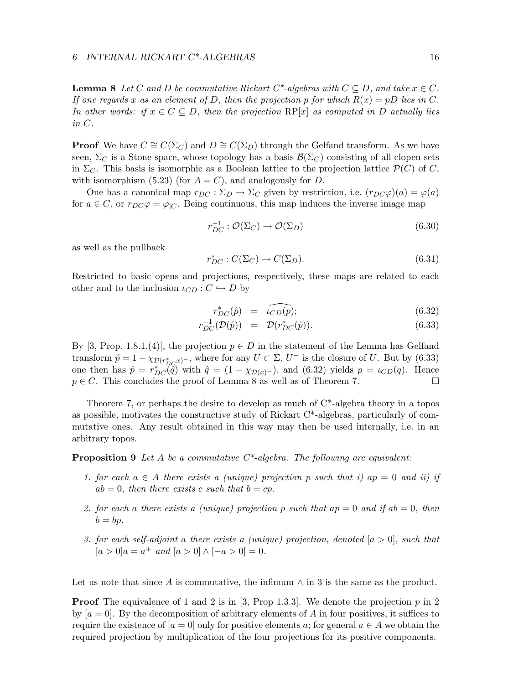**Lemma 8** Let C and D be commutative Rickart  $C^*$ -algebras with  $C \subseteq D$ , and take  $x \in C$ . If one regards x as an element of D, then the projection p for which  $R(x) = pD$  lies in C. In other words: if  $x \in C \subseteq D$ , then the projection  $RP[x]$  as computed in D actually lies in C.

**Proof** We have  $C \cong C(\Sigma_C)$  and  $D \cong C(\Sigma_D)$  through the Gelfand transform. As we have seen,  $\Sigma_C$  is a Stone space, whose topology has a basis  $\mathcal{B}(\Sigma_C)$  consisting of all clopen sets in  $\Sigma_C$ . This basis is isomorphic as a Boolean lattice to the projection lattice  $\mathcal{P}(C)$  of C, with isomorphism (5.23) (for  $A = C$ ), and analogously for D.

One has a canonical map  $r_{DC} : \Sigma_D \to \Sigma_C$  given by restriction, i.e.  $(r_{DC}\varphi)(a) = \varphi(a)$ for  $a \in C$ , or  $r_{DC}\varphi = \varphi_{|C}$ . Being continuous, this map induces the inverse image map

$$
r_{DC}^{-1} : \mathcal{O}(\Sigma_C) \to \mathcal{O}(\Sigma_D) \tag{6.30}
$$

as well as the pullback

$$
r_{DC}^* : C(\Sigma_C) \to C(\Sigma_D). \tag{6.31}
$$

Restricted to basic opens and projections, respectively, these maps are related to each other and to the inclusion  $\iota_{CD}: C \hookrightarrow D$  by

$$
r_{DC}^*(\hat{p}) = \widehat{\iota_{CD}(p)};
$$
\n(6.32)

$$
r_{DC}^{-1}(\mathcal{D}(\hat{p})) = \mathcal{D}(r_{DC}^*(\hat{p})). \tag{6.33}
$$

By [3, Prop. 1.8.1.(4)], the projection  $p \in D$  in the statement of the Lemma has Gelfand transform  $\hat{p} = 1 - \chi_{\mathcal{D}(r_{DC}^*\mathcal{X})}$ , where for any  $U \subset \Sigma$ ,  $U^-$  is the closure of U. But by (6.33) one then has  $\hat{p} = r_{DC}^*(\tilde{\hat{q}})$  with  $\hat{q} = (1 - \chi_{D(x)^{-}})$ , and (6.32) yields  $p = \iota_{CD}(q)$ . Hence  $p \in C$ . This concludes the proof of Lemma 8 as well as of Theorem 7.

Theorem 7, or perhaps the desire to develop as much of  $C^*$ -algebra theory in a topos as possible, motivates the constructive study of Rickart  $C^*$ -algebras, particularly of commutative ones. Any result obtained in this way may then be used internally, i.e. in an arbitrary topos.

**Proposition 9** Let A be a commutative  $C^*$ -algebra. The following are equivalent:

- 1. for each  $a \in A$  there exists a (unique) projection p such that i) ap = 0 and ii) if  $ab = 0$ , then there exists c such that  $b = cp$ .
- 2. for each a there exists a (unique) projection p such that  $ap = 0$  and if  $ab = 0$ , then  $b = bp$ .
- 3. for each self-adjoint a there exists a (unique) projection, denoted  $[a > 0]$ , such that  $[a > 0]a = a^+$  and  $[a > 0] \wedge [-a > 0] = 0$ .

Let us note that since A is commutative, the infimum  $\wedge$  in 3 is the same as the product.

**Proof** The equivalence of 1 and 2 is in [3, Prop 1.3.3]. We denote the projection p in 2 by  $[a = 0]$ . By the decomposition of arbitrary elements of A in four positives, it suffices to require the existence of  $[a = 0]$  only for positive elements a; for general  $a \in A$  we obtain the required projection by multiplication of the four projections for its positive components.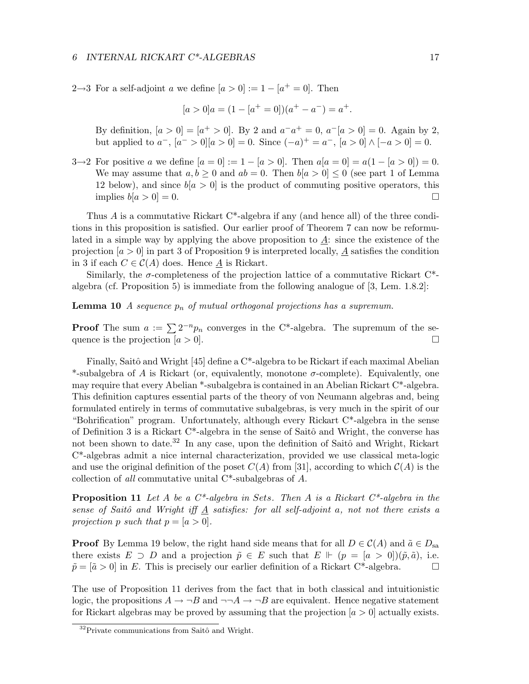2→3 For a self-adjoint *a* we define  $[a > 0] := 1 - [a^+ = 0]$ . Then

$$
[a > 0]a = (1 - [a+ = 0])(a+ - a-) = a+.
$$

By definition,  $[a > 0] = [a^+ > 0]$ . By 2 and  $a^-a^+ = 0$ ,  $a^-[a > 0] = 0$ . Again by 2, but applied to  $a^-$ ,  $[a^- > 0][a > 0] = 0$ . Since  $(-a)^+ = a^-$ ,  $[a > 0] \wedge [-a > 0] = 0$ .

3→2 For positive a we define  $[a = 0] := 1 - [a > 0]$ . Then  $a[a = 0] = a(1 - [a > 0]) = 0$ . We may assume that  $a, b \ge 0$  and  $ab = 0$ . Then  $b[a > 0] \le 0$  (see part 1 of Lemma 12 below), and since  $b[a > 0]$  is the product of commuting positive operators, this implies  $b[a > 0] = 0$ .

Thus A is a commutative Rickart C\*-algebra if any (and hence all) of the three conditions in this proposition is satisfied. Our earlier proof of Theorem 7 can now be reformulated in a simple way by applying the above proposition to  $\underline{A}$ : since the existence of the projection  $[a > 0]$  in part 3 of Proposition 9 is interpreted locally,  $\underline{A}$  satisfies the condition in 3 if each  $C \in \mathcal{C}(A)$  does. Hence  $\underline{A}$  is Rickart.

Similarly, the  $\sigma$ -completeness of the projection lattice of a commutative Rickart C<sup>\*</sup>algebra (cf. Proposition 5) is immediate from the following analogue of [3, Lem. 1.8.2]:

**Lemma 10** A sequence  $p_n$  of mutual orthogonal projections has a supremum.

**Proof** The sum  $a := \sum 2^{-n} p_n$  converges in the C<sup>\*</sup>-algebra. The supremum of the sequence is the projection  $[a > 0]$ .

Finally, Saitô and Wright [45] define a  $C^*$ -algebra to be Rickart if each maximal Abelian \*-subalgebra of A is Rickart (or, equivalently, monotone  $\sigma$ -complete). Equivalently, one may require that every Abelian \*-subalgebra is contained in an Abelian Rickart C\*-algebra. This definition captures essential parts of the theory of von Neumann algebras and, being formulated entirely in terms of commutative subalgebras, is very much in the spirit of our "Bohrification" program. Unfortunately, although every Rickart C\*-algebra in the sense of Definition 3 is a Rickart C<sup>\*</sup>-algebra in the sense of Saitô and Wright, the converse has not been shown to date.<sup>32</sup> In any case, upon the definition of Saitô and Wright, Rickart C\*-algebras admit a nice internal characterization, provided we use classical meta-logic and use the original definition of the poset  $C(A)$  from [31], according to which  $C(A)$  is the collection of all commutative unital C\*-subalgebras of A.

**Proposition 11** Let A be a  $C^*$ -algebra in Sets. Then A is a Rickart  $C^*$ -algebra in the sense of Saitô and Wright iff  $\underline{A}$  satisfies: for all self-adjoint a, not not there exists a projection p such that  $p = [a > 0]$ .

**Proof** By Lemma 19 below, the right hand side means that for all  $D \in C(A)$  and  $\tilde{a} \in D_{sa}$ there exists  $E \supset D$  and a projection  $\tilde{p} \in E$  such that  $E \vDash (p = [a > 0])(\tilde{p}, \tilde{a})$ , i.e.  $\tilde{p} = [\tilde{a} > 0]$  in E. This is precisely our earlier definition of a Rickart C\*-algebra.

The use of Proposition 11 derives from the fact that in both classical and intuitionistic logic, the propositions  $A \to \neg B$  and  $\neg\neg A \to \neg B$  are equivalent. Hence negative statement for Rickart algebras may be proved by assuming that the projection  $[a > 0]$  actually exists.

 $32$ Private communications from Saitô and Wright.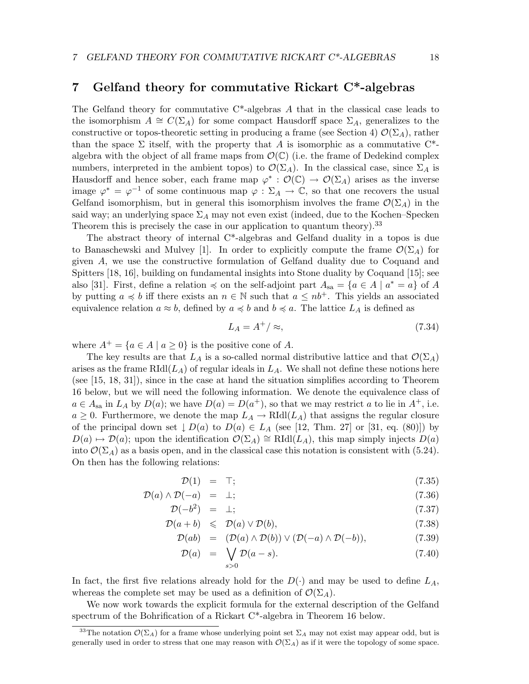### 7 Gelfand theory for commutative Rickart C\*-algebras

The Gelfand theory for commutative  $C^*$ -algebras A that in the classical case leads to the isomorphism  $A \cong C(\Sigma_A)$  for some compact Hausdorff space  $\Sigma_A$ , generalizes to the constructive or topos-theoretic setting in producing a frame (see Section 4)  $\mathcal{O}(\Sigma_A)$ , rather than the space  $\Sigma$  itself, with the property that A is isomorphic as a commutative C<sup>\*</sup>algebra with the object of all frame maps from  $\mathcal{O}(\mathbb{C})$  (i.e. the frame of Dedekind complex numbers, interpreted in the ambient topos) to  $\mathcal{O}(\Sigma_A)$ . In the classical case, since  $\Sigma_A$  is Hausdorff and hence sober, each frame map  $\varphi^* : \mathcal{O}(\mathbb{C}) \to \mathcal{O}(\Sigma_A)$  arises as the inverse image  $\varphi^* = \varphi^{-1}$  of some continuous map  $\varphi : \Sigma_A \to \mathbb{C}$ , so that one recovers the usual Gelfand isomorphism, but in general this isomorphism involves the frame  $\mathcal{O}(\Sigma_A)$  in the said way; an underlying space  $\Sigma_A$  may not even exist (indeed, due to the Kochen–Specken Theorem this is precisely the case in our application to quantum theory).<sup>33</sup>

The abstract theory of internal C\*-algebras and Gelfand duality in a topos is due to Banaschewski and Mulvey [1]. In order to explicitly compute the frame  $\mathcal{O}(\Sigma_A)$  for given A, we use the constructive formulation of Gelfand duality due to Coquand and Spitters [18, 16], building on fundamental insights into Stone duality by Coquand [15]; see also [31]. First, define a relation  $\preccurlyeq$  on the self-adjoint part  $A_{sa} = \{a \in A \mid a^* = a\}$  of A by putting  $a \preccurlyeq b$  iff there exists an  $n \in \mathbb{N}$  such that  $a \leq nb^+$ . This yields an associated equivalence relation  $a \approx b$ , defined by  $a \preccurlyeq b$  and  $b \preccurlyeq a$ . The lattice  $L_A$  is defined as

$$
L_A = A^+ / \approx, \tag{7.34}
$$

where  $A^+ = \{a \in A \mid a \ge 0\}$  is the positive cone of A.

The key results are that  $L_A$  is a so-called normal distributive lattice and that  $\mathcal{O}(\Sigma_A)$ arises as the frame  $RIdl(L_A)$  of regular ideals in  $L_A$ . We shall not define these notions here (see [15, 18, 31]), since in the case at hand the situation simplifies according to Theorem 16 below, but we will need the following information. We denote the equivalence class of  $a \in A_{sa}$  in  $L_A$  by  $D(a)$ ; we have  $D(a) = D(a^+)$ , so that we may restrict a to lie in  $A^+$ , i.e.  $a \geq 0$ . Furthermore, we denote the map  $L_A \to \text{RId}(L_A)$  that assigns the regular closure of the principal down set  $\downarrow D(a)$  to  $D(a) \in L_A$  (see [12, Thm. 27] or [31, eq. (80)]) by  $D(a) \mapsto \mathcal{D}(a)$ ; upon the identification  $\mathcal{O}(\Sigma_A) \cong \text{RId}(L_A)$ , this map simply injects  $D(a)$ into  $\mathcal{O}(\Sigma_A)$  as a basis open, and in the classical case this notation is consistent with (5.24). On then has the following relations:

$$
\mathcal{D}(1) = \top; \tag{7.35}
$$

$$
\mathcal{D}(a) \wedge \mathcal{D}(-a) = \perp; \tag{7.36}
$$

$$
\mathcal{D}(-b^2) = \perp; \tag{7.37}
$$

$$
\mathcal{D}(a+b) \leqslant \mathcal{D}(a) \vee \mathcal{D}(b), \tag{7.38}
$$

$$
\mathcal{D}(ab) = (\mathcal{D}(a) \wedge \mathcal{D}(b)) \vee (\mathcal{D}(-a) \wedge \mathcal{D}(-b)), \tag{7.39}
$$

$$
\mathcal{D}(a) = \bigvee_{s>0} \mathcal{D}(a-s). \tag{7.40}
$$

In fact, the first five relations already hold for the  $D(\cdot)$  and may be used to define  $L_A$ , whereas the complete set may be used as a definition of  $\mathcal{O}(\Sigma_A)$ .

We now work towards the explicit formula for the external description of the Gelfand spectrum of the Bohrification of a Rickart C\*-algebra in Theorem 16 below.

<sup>&</sup>lt;sup>33</sup>The notation  $\mathcal{O}(\Sigma_A)$  for a frame whose underlying point set  $\Sigma_A$  may not exist may appear odd, but is generally used in order to stress that one may reason with  $\mathcal{O}(\Sigma_A)$  as if it were the topology of some space.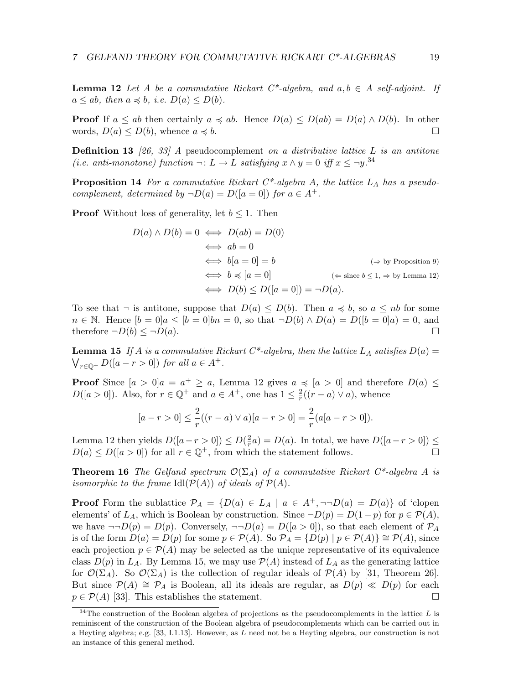**Lemma 12** Let A be a commutative Rickart  $C^*$ -algebra, and  $a, b \in A$  self-adjoint. If  $a \leq ab$ , then  $a \preccurlyeq b$ , i.e.  $D(a) \leq D(b)$ .

**Proof** If  $a \leq ab$  then certainly  $a \preccurlyeq ab$ . Hence  $D(a) \leq D(ab) = D(a) \wedge D(b)$ . In other words,  $D(a) \leq D(b)$ , whence  $a \preccurlyeq b$ .

**Definition 13** [26, 33] A pseudocomplement on a distributive lattice  $L$  is an antitone (i.e. anti-monotone) function  $\neg: L \to L$  satisfying  $x \wedge y = 0$  iff  $x \leq \neg y$ .<sup>34</sup>

**Proposition 14** For a commutative Rickart  $C^*$ -algebra A, the lattice  $L_A$  has a pseudocomplement, determined by  $\neg D(a) = D([a = 0])$  for  $a \in A^+$ .

**Proof** Without loss of generality, let  $b \leq 1$ . Then

$$
D(a) \land D(b) = 0 \iff D(ab) = D(0)
$$
  
\n
$$
\iff ab = 0
$$
  
\n
$$
\iff b[a = 0] = b \iff (\Rightarrow \text{ by Proposition 9})
$$
  
\n
$$
\iff b \preccurlyeq [a = 0] \iff (\Leftrightarrow \text{since } b \le 1, \Rightarrow \text{ by Lemma 12})
$$
  
\n
$$
\iff D(b) \le D([a = 0]) = \neg D(a).
$$

To see that  $\neg$  is antitone, suppose that  $D(a) \leq D(b)$ . Then  $a \preccurlyeq b$ , so  $a \leq nb$  for some  $n \in \mathbb{N}$ . Hence  $[b = 0]a \leq [b = 0]bn = 0$ , so that  $\neg D(b) \wedge D(a) = D([b = 0]a) = 0$ , and therefore  $\neg D(b) \leq \neg D(a)$ .

**Lemma 15** If A is a commutative Rickart C\*-algebra, then the lattice  $L_A$  satisfies  $D(a)$  =  $\bigvee_{r\in\mathbb{Q}^+} D([a-r>0])$  for all  $a\in A^+$ .

**Proof** Since  $[a > 0]a = a^+ \ge a$ , Lemma 12 gives  $a \preccurlyeq [a > 0]$  and therefore  $D(a) \le a$  $D([a > 0])$ . Also, for  $r \in \mathbb{Q}^+$  and  $a \in A^+$ , one has  $1 \leq \frac{2}{r}$  $\frac{2}{r}((r-a)\vee a)$ , whence

$$
[a - r > 0] \le \frac{2}{r}((r - a) \lor a)[a - r > 0] = \frac{2}{r}(a[a - r > 0]).
$$

Lemma 12 then yields  $D([a - r > 0]) \leq D(\frac{2}{r})$  $\frac{2}{r}a$ ) = D(a). In total, we have  $D([a-r>0]) \leq$  $D(a) \le D([a > 0])$  for all  $r \in \mathbb{Q}^+$ , from which the statement follows.

**Theorem 16** The Gelfand spectrum  $\mathcal{O}(\Sigma_A)$  of a commutative Rickart C<sup>\*</sup>-algebra A is isomorphic to the frame Idl $(\mathcal{P}(A))$  of ideals of  $\mathcal{P}(A)$ .

**Proof** Form the sublattice  $\mathcal{P}_A = \{D(a) \in L_A \mid a \in A^+, \neg\neg D(a) = D(a)\}\$  of 'clopen elements' of  $L_A$ , which is Boolean by construction. Since  $\neg D(p) = D(1-p)$  for  $p \in \mathcal{P}(A)$ , we have  $\neg D(p) = D(p)$ . Conversely,  $\neg D(a) = D([a > 0])$ , so that each element of  $P_A$ is of the form  $D(a) = D(p)$  for some  $p \in \mathcal{P}(A)$ . So  $\mathcal{P}_A = \{D(p) | p \in \mathcal{P}(A)\} \cong \mathcal{P}(A)$ , since each projection  $p \in \mathcal{P}(A)$  may be selected as the unique representative of its equivalence class  $D(p)$  in  $L<sub>A</sub>$ . By Lemma 15, we may use  $\mathcal{P}(A)$  instead of  $L<sub>A</sub>$  as the generating lattice for  $\mathcal{O}(\Sigma_A)$ . So  $\mathcal{O}(\Sigma_A)$  is the collection of regular ideals of  $\mathcal{P}(A)$  by [31, Theorem 26]. But since  $P(A) \cong P_A$  is Boolean, all its ideals are regular, as  $D(p) \ll D(p)$  for each  $p \in \mathcal{P}(A)$  [33]. This establishes the statement.

 $34$ The construction of the Boolean algebra of projections as the pseudocomplements in the lattice L is reminiscent of the construction of the Boolean algebra of pseudocomplements which can be carried out in a Heyting algebra; e.g. [33, I.1.13]. However, as L need not be a Heyting algebra, our construction is not an instance of this general method.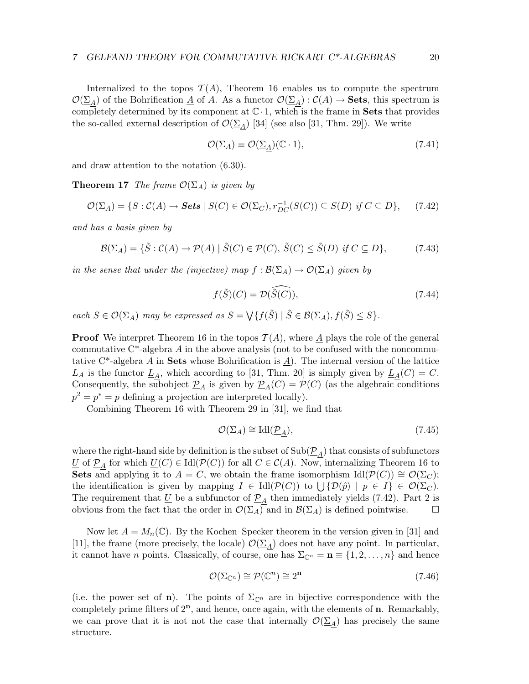Internalized to the topos  $T(A)$ , Theorem 16 enables us to compute the spectrum  $\mathcal{O}(\Sigma_A)$  of the Bohrification  $\underline{A}$  of A. As a functor  $\mathcal{O}(\Sigma_A) : \mathcal{C}(A) \to \mathbf{Sets}$ , this spectrum is completely determined by its component at  $\mathbb{C} \cdot 1$ , which is the frame in **Sets** that provides the so-called external description of  $\mathcal{O}(\Sigma_A)$  [34] (see also [31, Thm. 29]). We write

$$
\mathcal{O}(\Sigma_A) \equiv \mathcal{O}(\underline{\Sigma}_A)(\mathbb{C} \cdot 1),\tag{7.41}
$$

and draw attention to the notation (6.30).

**Theorem 17** The frame  $\mathcal{O}(\Sigma_A)$  is given by

$$
\mathcal{O}(\Sigma_A) = \{ S : \mathcal{C}(A) \to \mathbf{Sets} \mid S(C) \in \mathcal{O}(\Sigma_C), r_{DC}^{-1}(S(C)) \subseteq S(D) \text{ if } C \subseteq D \},\tag{7.42}
$$

and has a basis given by

$$
\mathcal{B}(\Sigma_A) = \{ \tilde{S} : \mathcal{C}(A) \to \mathcal{P}(A) \mid \tilde{S}(C) \in \mathcal{P}(C), \, \tilde{S}(C) \le \tilde{S}(D) \, \text{ if } C \subseteq D \},\tag{7.43}
$$

in the sense that under the (injective) map  $f : \mathcal{B}(\Sigma_A) \to \mathcal{O}(\Sigma_A)$  given by

$$
f(\tilde{S})(C) = \mathcal{D}(\widehat{\tilde{S}(C)}),\tag{7.44}
$$

each  $S \in \mathcal{O}(\Sigma_A)$  may be expressed as  $S = \bigvee \{ f(\tilde{S}) \mid \tilde{S} \in \mathcal{B}(\Sigma_A), f(\tilde{S}) \leq S \}.$ 

**Proof** We interpret Theorem 16 in the topos  $\mathcal{T}(A)$ , where A plays the role of the general commutative  $C^*$ -algebra A in the above analysis (not to be confused with the noncommutative  $C^*$ -algebra A in **Sets** whose Bohrification is A). The internal version of the lattice  $L_A$  is the functor  $\underline{L}_A$ , which according to [31, Thm. 20] is simply given by  $\underline{L}_A(C) = C$ . Consequently, the subobject  $\mathcal{P}_A$  is given by  $\mathcal{P}_A(C) = \mathcal{P}(C)$  (as the algebraic conditions  $p^2 = p^* = p$  defining a projection are interpreted locally).

Combining Theorem 16 with Theorem 29 in [31], we find that

$$
\mathcal{O}(\Sigma_A) \cong \text{Idl}(\underline{\mathcal{P}}_A),\tag{7.45}
$$

where the right-hand side by definition is the subset of  $Sub(\underline{\mathcal{P}}_A)$  that consists of subfunctors U of  $\underline{P}_A$  for which  $\underline{U}(C) \in \text{Id}(\mathcal{P}(C))$  for all  $C \in \mathcal{C}(A)$ . Now, internalizing Theorem 16 to Sets and applying it to  $A = C$ , we obtain the frame isomorphism Idl( $\mathcal{P}(C)$ ) ≅  $\mathcal{O}(\Sigma_C)$ ; the identification is given by mapping  $I \in \text{Idl}(\mathcal{P}(C))$  to  $\bigcup \{\mathcal{D}(\hat{p}) \mid p \in I\} \in \mathcal{O}(\Sigma_C)$ . The requirement that  $\underline{U}$  be a subfunctor of  $\underline{P}_A$  then immediately yields (7.42). Part 2 is obvious from the fact that the order in  $\mathcal{O}(\Sigma_A)$  and in  $\mathcal{B}(\Sigma_A)$  is defined pointwise.

Now let  $A = M_n(\mathbb{C})$ . By the Kochen–Specker theorem in the version given in [31] and [11], the frame (more precisely, the locale)  $\mathcal{O}(\Sigma_A)$  does not have any point. In particular, it cannot have *n* points. Classically, of course, one has  $\Sigma_{\mathbb{C}^n} = \mathbf{n} \equiv \{1, 2, \ldots, n\}$  and hence

$$
\mathcal{O}(\Sigma_{\mathbb{C}^n}) \cong \mathcal{P}(\mathbb{C}^n) \cong 2^n \tag{7.46}
$$

(i.e. the power set of **n**). The points of  $\Sigma_{\mathbb{C}^n}$  are in bijective correspondence with the completely prime filters of  $2<sup>n</sup>$ , and hence, once again, with the elements of **n**. Remarkably, we can prove that it is not not the case that internally  $\mathcal{O}(\Sigma_A)$  has precisely the same structure.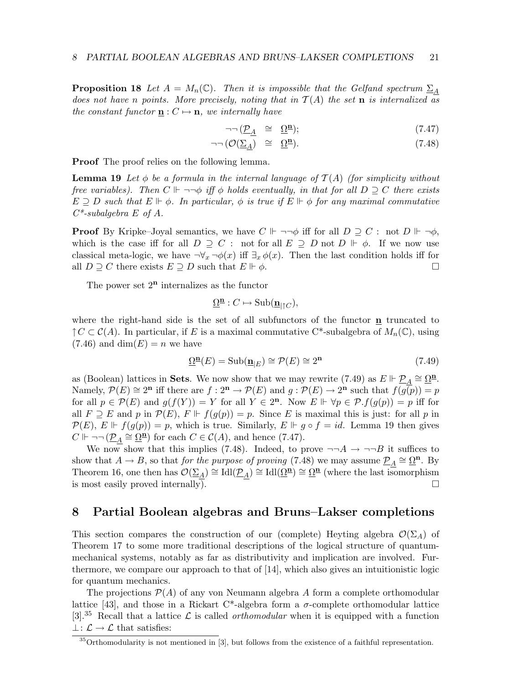**Proposition 18** Let  $A = M_n(\mathbb{C})$ . Then it is impossible that the Gelfand spectrum  $\Sigma_A$ does not have n points. More precisely, noting that in  $T(A)$  the set **n** is internalized as the constant functor  $\mathbf{n}: C \mapsto \mathbf{n}$ , we internally have

$$
\neg\neg \left(\underline{\mathcal{P}}_{A} \quad \cong \quad \underline{\Omega}^{\mathbf{n}}\right); \tag{7.47}
$$

$$
\neg\neg\left(\mathcal{O}(\underline{\Sigma}_{\underline{A}})\right) \cong \underline{\Omega}^{\underline{n}}.
$$
\n(7.48)

Proof The proof relies on the following lemma.

**Lemma 19** Let  $\phi$  be a formula in the internal language of  $\mathcal{T}(A)$  (for simplicity without free variables). Then  $C \Vdash \neg \neg \phi$  iff  $\phi$  holds eventually, in that for all  $D \supseteq C$  there exists  $E \supseteq D$  such that  $E \Vdash \phi$ . In particular,  $\phi$  is true if  $E \Vdash \phi$  for any maximal commutative  $C^*$ -subalgebra E of A.

**Proof** By Kripke–Joyal semantics, we have  $C \Vdash \neg \neg \phi$  iff for all  $D \supseteq C$ : not  $D \Vdash \neg \phi$ , which is the case iff for all  $D \supseteq C$ : not for all  $E \supseteq D$  not  $D \Vdash \phi$ . If we now use classical meta-logic, we have  $\neg \forall_x \neg \phi(x)$  iff  $\exists_x \phi(x)$ . Then the last condition holds iff for all  $D \supseteq C$  there exists  $E \supseteq D$  such that  $E \Vdash \phi$ .

The power set  $2^n$  internalizes as the functor

$$
\underline{\Omega}^{\underline{\mathbf{n}}}: C \mapsto \mathrm{Sub}(\underline{\mathbf{n}}_{\vert \uparrow C}),
$$

where the right-hand side is the set of all subfunctors of the functor  $\bf{n}$  truncated to  $\uparrow C \subset \mathcal{C}(A)$ . In particular, if E is a maximal commutative C<sup>\*</sup>-subalgebra of  $M_n(\mathbb{C})$ , using  $(7.46)$  and  $dim(E) = n$  we have

$$
\underline{\Omega}^{\mathbf{n}}(E) = \text{Sub}(\underline{\mathbf{n}}_{|E}) \cong \mathcal{P}(E) \cong 2^{\mathbf{n}} \tag{7.49}
$$

as (Boolean) lattices in **Sets**. We now show that we may rewrite (7.49) as  $E \Vdash \underline{\mathcal{P}}_A \cong \underline{\Omega}^{\underline{\mathbf{n}}}$ . Namely,  $\mathcal{P}(E) \cong 2^n$  iff there are  $f: 2^n \to \mathcal{P}(E)$  and  $g: \mathcal{P}(E) \to 2^n$  such that  $f(g(p)) = p$ for all  $p \in \mathcal{P}(E)$  and  $g(f(Y)) = Y$  for all  $Y \in 2^n$ . Now  $E \Vdash \forall p \in \mathcal{P}. f(g(p)) = p$  iff for all  $F \supseteq E$  and p in  $\mathcal{P}(E)$ ,  $F \Vdash f(g(p)) = p$ . Since E is maximal this is just: for all p in  $\mathcal{P}(E), E \Vdash f(g(p)) = p$ , which is true. Similarly,  $E \Vdash g \circ f = id$ . Lemma 19 then gives  $C \Vdash \neg \neg (\underline{\mathcal{P}}_A \cong \underline{\Omega}^{\underline{\mathbf{n}}})$  for each  $C \in \mathcal{C}(A)$ , and hence (7.47).

We now show that this implies (7.48). Indeed, to prove  $\neg\neg A \rightarrow \neg\neg B$  it suffices to show that  $A \to B$ , so that for the purpose of proving (7.48) we may assume  $\underline{P}_A \cong \underline{\Omega}^n$ . By Theorem 16, one then has  $\mathcal{O}(\underline{\Sigma}_A) \cong \text{Idl}(\underline{\mathcal{P}}_A) \cong \text{Idl}(\underline{\Omega}^{\underline{\mathbf{n}}}) \cong \underline{\Omega}^{\underline{\mathbf{n}}}$  (where the last isomorphism is most easily proved internally).  $\Box$ 

## 8 Partial Boolean algebras and Bruns–Lakser completions

This section compares the construction of our (complete) Heyting algebra  $\mathcal{O}(\Sigma_A)$  of Theorem 17 to some more traditional descriptions of the logical structure of quantummechanical systems, notably as far as distributivity and implication are involved. Furthermore, we compare our approach to that of [14], which also gives an intuitionistic logic for quantum mechanics.

The projections  $\mathcal{P}(A)$  of any von Neumann algebra A form a complete orthomodular lattice [43], and those in a Rickart C<sup>\*</sup>-algebra form a  $\sigma$ -complete orthomodular lattice [3].<sup>35</sup> Recall that a lattice  $\mathcal L$  is called *orthomodular* when it is equipped with a function  $\bot: \mathcal{L} \to \mathcal{L}$  that satisfies:

<sup>35</sup>Orthomodularity is not mentioned in [3], but follows from the existence of a faithful representation.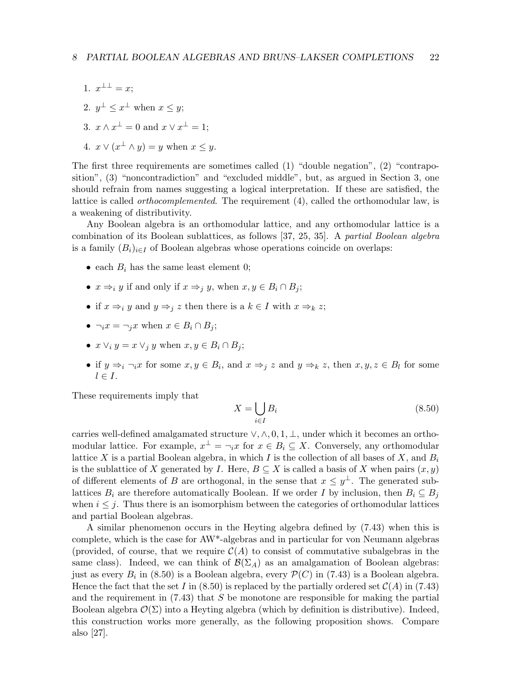- 1.  $x^{\perp \perp} = x;$
- 2.  $y^{\perp} \leq x^{\perp}$  when  $x \leq y$ ;
- 3.  $x \wedge x^{\perp} = 0$  and  $x \vee x^{\perp} = 1$ ;

4. 
$$
x \vee (x^{\perp} \wedge y) = y
$$
 when  $x \leq y$ .

The first three requirements are sometimes called  $(1)$  "double negation",  $(2)$  "contraposition", (3) "noncontradiction" and "excluded middle", but, as argued in Section 3, one should refrain from names suggesting a logical interpretation. If these are satisfied, the lattice is called *orthocomplemented*. The requirement (4), called the orthomodular law, is a weakening of distributivity.

Any Boolean algebra is an orthomodular lattice, and any orthomodular lattice is a combination of its Boolean sublattices, as follows [37, 25, 35]. A partial Boolean algebra is a family  $(B_i)_{i\in I}$  of Boolean algebras whose operations coincide on overlaps:

- each  $B_i$  has the same least element 0;
- $x \Rightarrow_i y$  if and only if  $x \Rightarrow_i y$ , when  $x, y \in B_i \cap B_j$ ;
- if  $x \Rightarrow_i y$  and  $y \Rightarrow_j z$  then there is a  $k \in I$  with  $x \Rightarrow_k z$ ;
- $\neg_i x = \neg_j x$  when  $x \in B_i \cap B_j$ ;
- $x \vee_i y = x \vee_j y$  when  $x, y \in B_i \cap B_j$ ;
- if  $y \Rightarrow_i \neg_i x$  for some  $x, y \in B_i$ , and  $x \Rightarrow_j z$  and  $y \Rightarrow_k z$ , then  $x, y, z \in B_l$  for some  $l \in I$ .

These requirements imply that

$$
X = \bigcup_{i \in I} B_i \tag{8.50}
$$

carries well-defined amalgamated structure  $\vee, \wedge, 0, 1, \perp$ , under which it becomes an orthomodular lattice. For example,  $x^{\perp} = \neg_i x$  for  $x \in B_i \subseteq X$ . Conversely, any orthomodular lattice X is a partial Boolean algebra, in which I is the collection of all bases of X, and  $B_i$ is the sublattice of X generated by I. Here,  $B \subseteq X$  is called a basis of X when pairs  $(x, y)$ of different elements of B are orthogonal, in the sense that  $x \leq y^{\perp}$ . The generated sublattices  $B_i$  are therefore automatically Boolean. If we order I by inclusion, then  $B_i \subseteq B_j$ when  $i \leq j$ . Thus there is an isomorphism between the categories of orthomodular lattices and partial Boolean algebras.

A similar phenomenon occurs in the Heyting algebra defined by (7.43) when this is complete, which is the case for AW\*-algebras and in particular for von Neumann algebras (provided, of course, that we require  $\mathcal{C}(A)$  to consist of commutative subalgebras in the same class). Indeed, we can think of  $\mathcal{B}(\Sigma_A)$  as an amalgamation of Boolean algebras: just as every  $B_i$  in (8.50) is a Boolean algebra, every  $\mathcal{P}(C)$  in (7.43) is a Boolean algebra. Hence the fact that the set I in  $(8.50)$  is replaced by the partially ordered set  $\mathcal{C}(A)$  in  $(7.43)$ and the requirement in  $(7.43)$  that S be monotone are responsible for making the partial Boolean algebra  $\mathcal{O}(\Sigma)$  into a Heyting algebra (which by definition is distributive). Indeed, this construction works more generally, as the following proposition shows. Compare also [27].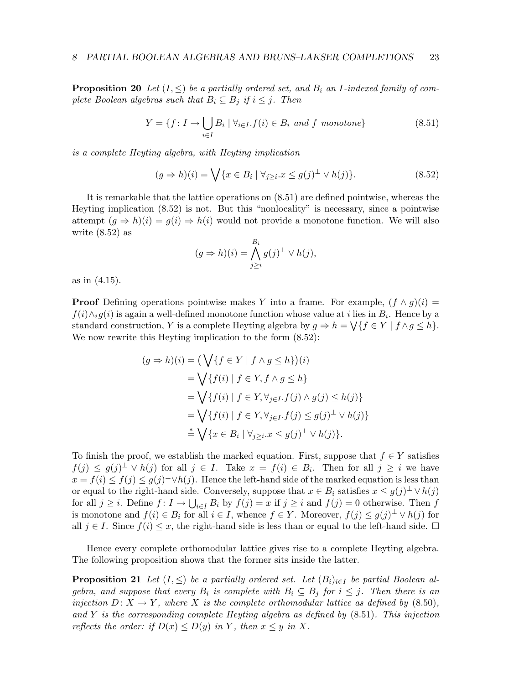**Proposition 20** Let  $(I, \leq)$  be a partially ordered set, and  $B_i$  an I-indexed family of complete Boolean algebras such that  $B_i \subseteq B_j$  if  $i \leq j$ . Then

$$
Y = \{f \colon I \to \bigcup_{i \in I} B_i \mid \forall_{i \in I} . f(i) \in B_i \text{ and } f \text{ monotone} \}
$$
\n
$$
(8.51)
$$

is a complete Heyting algebra, with Heyting implication

$$
(g \Rightarrow h)(i) = \bigvee \{x \in B_i \mid \forall j \ge i \, x \le g(j)^{\perp} \lor h(j)\}.
$$
\n
$$
(8.52)
$$

It is remarkable that the lattice operations on (8.51) are defined pointwise, whereas the Heyting implication (8.52) is not. But this "nonlocality" is necessary, since a pointwise attempt  $(g \Rightarrow h)(i) = g(i) \Rightarrow h(i)$  would not provide a monotone function. We will also write (8.52) as

$$
(g \Rightarrow h)(i) = \bigwedge_{j \ge i}^{B_i} g(j)^{\perp} \vee h(j),
$$

as in (4.15).

**Proof** Defining operations pointwise makes Y into a frame. For example,  $(f \wedge g)(i)$  $f(i) \wedge_i g(i)$  is again a well-defined monotone function whose value at i lies in  $B_i$ . Hence by a standard construction, Y is a complete Heyting algebra by  $g \Rightarrow h = \bigvee \{ f \in Y \mid f \wedge g \leq h \}.$ We now rewrite this Heyting implication to the form  $(8.52)$ :

$$
(g \Rightarrow h)(i) = \left(\bigvee \{f \in Y \mid f \land g \le h\}\right)(i)
$$
  
=  $\bigvee \{f(i) \mid f \in Y, f \land g \le h\}$   
=  $\bigvee \{f(i) \mid f \in Y, \forall_{j \in I}. f(j) \land g(j) \le h(j)\}$   
=  $\bigvee \{f(i) \mid f \in Y, \forall_{j \in I}. f(j) \le g(j)^{\perp} \lor h(j)\}$   
=  $\bigvee \{x \in B_i \mid \forall_{j \ge i}. x \le g(j)^{\perp} \lor h(j)\}.$ 

To finish the proof, we establish the marked equation. First, suppose that  $f \in Y$  satisfies  $f(j) \leq g(j)^{\perp} \vee h(j)$  for all  $j \in I$ . Take  $x = f(i) \in B_i$ . Then for all  $j \geq i$  we have  $x = f(i) \leq f(j) \leq g(j)^{\perp} \vee h(j)$ . Hence the left-hand side of the marked equation is less than or equal to the right-hand side. Conversely, suppose that  $x \in B_i$  satisfies  $x \leq g(j)^\perp \vee h(j)$ for all  $j \geq i$ . Define  $f: I \to \bigcup_{i \in I} B_i$  by  $f(j) = x$  if  $j \geq i$  and  $f(j) = 0$  otherwise. Then f is monotone and  $f(i) \in B_i$  for all  $i \in I$ , whence  $f \in Y$ . Moreover,  $f(j) \leq g(j)$ <sup> $\perp \vee h(j)$ </sup> for all  $j \in I$ . Since  $f(i) \leq x$ , the right-hand side is less than or equal to the left-hand side.  $\Box$ 

Hence every complete orthomodular lattice gives rise to a complete Heyting algebra. The following proposition shows that the former sits inside the latter.

**Proposition 21** Let  $(I, \leq)$  be a partially ordered set. Let  $(B_i)_{i \in I}$  be partial Boolean algebra, and suppose that every  $B_i$  is complete with  $B_i \subseteq B_j$  for  $i \leq j$ . Then there is an injection  $D: X \to Y$ , where X is the complete orthomodular lattice as defined by (8.50), and  $Y$  is the corresponding complete Heyting algebra as defined by  $(8.51)$ . This injection reflects the order: if  $D(x) \le D(y)$  in Y, then  $x \le y$  in X.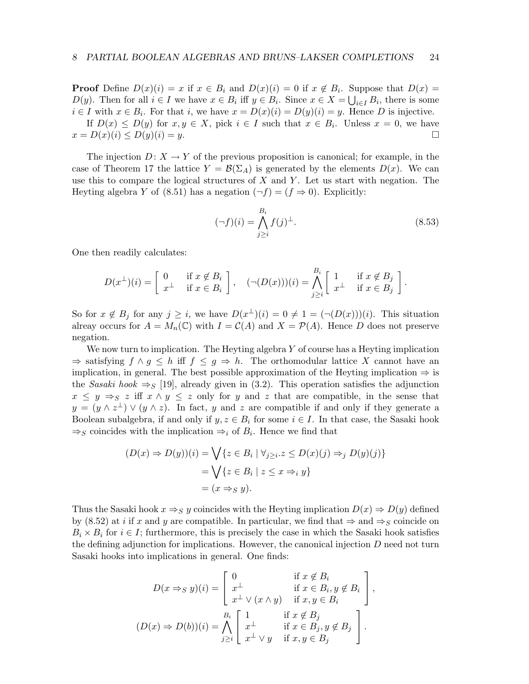**Proof** Define  $D(x)(i) = x$  if  $x \in B_i$  and  $D(x)(i) = 0$  if  $x \notin B_i$ . Suppose that  $D(x) =$  $D(y)$ . Then for all  $i \in I$  we have  $x \in B_i$  iff  $y \in B_i$ . Since  $x \in X = \bigcup_{i \in I} B_i$ , there is some  $i \in I$  with  $x \in B_i$ . For that i, we have  $x = D(x)(i) = D(y)(i) = y$ . Hence D is injective. If  $D(x) \leq D(y)$  for  $x, y \in X$ , pick  $i \in I$  such that  $x \in B_i$ . Unless  $x = 0$ , we have  $x = D(x)(i) \le D(y)(i) = y.$ 

The injection  $D: X \to Y$  of the previous proposition is canonical; for example, in the case of Theorem 17 the lattice  $Y = \mathcal{B}(\Sigma_A)$  is generated by the elements  $D(x)$ . We can use this to compare the logical structures of  $X$  and  $Y$ . Let us start with negation. The Heyting algebra Y of (8.51) has a negation  $(\neg f) = (f \Rightarrow 0)$ . Explicitly:

$$
(\neg f)(i) = \bigwedge_{j \ge i}^{B_i} f(j)^{\perp}.
$$
\n(8.53)

.

One then readily calculates:

$$
D(x^{\perp})(i) = \begin{bmatrix} 0 & \text{if } x \notin B_i \\ x^{\perp} & \text{if } x \in B_i \end{bmatrix}, \quad (\neg(D(x)))(i) = \bigwedge_{j \ge i}^{B_i} \begin{bmatrix} 1 & \text{if } x \notin B_j \\ x^{\perp} & \text{if } x \in B_j \end{bmatrix}
$$

So for  $x \notin B_j$  for any  $j \geq i$ , we have  $D(x^{\perp})(i) = 0 \neq 1 = (\neg(D(x)))(i)$ . This situation alreay occurs for  $A = M_n(\mathbb{C})$  with  $I = \mathcal{C}(A)$  and  $X = \mathcal{P}(A)$ . Hence D does not preserve negation.

We now turn to implication. The Heyting algebra  $Y$  of course has a Heyting implication  $\Rightarrow$  satisfying  $f \wedge g \leq h$  iff  $f \leq g \Rightarrow h$ . The orthomodular lattice X cannot have an implication, in general. The best possible approximation of the Heyting implication  $\Rightarrow$  is the Sasaki hook  $\Rightarrow$  [19], already given in (3.2). This operation satisfies the adjunction  $x \leq y \Rightarrow_{S} z$  iff  $x \wedge y \leq z$  only for y and z that are compatible, in the sense that  $y = (y \wedge z^{\perp}) \vee (y \wedge z)$ . In fact, y and z are compatible if and only if they generate a Boolean subalgebra, if and only if  $y, z \in B_i$  for some  $i \in I$ . In that case, the Sasaki hook  $\Rightarrow$  s coincides with the implication  $\Rightarrow$  of  $B_i$ . Hence we find that

$$
(D(x) \Rightarrow D(y))(i) = \bigvee \{ z \in B_i \mid \forall_{j \geq i} . z \leq D(x)(j) \Rightarrow_j D(y)(j) \}
$$

$$
= \bigvee \{ z \in B_i \mid z \leq x \Rightarrow_i y \}
$$

$$
= (x \Rightarrow_S y).
$$

Thus the Sasaki hook  $x \Rightarrow_S y$  coincides with the Heyting implication  $D(x) \Rightarrow D(y)$  defined by (8.52) at *i* if x and y are compatible. In particular, we find that  $\Rightarrow$  and  $\Rightarrow$  coincide on  $B_i \times B_i$  for  $i \in I$ ; furthermore, this is precisely the case in which the Sasaki hook satisfies the defining adjunction for implications. However, the canonical injection  $D$  need not turn Sasaki hooks into implications in general. One finds:

$$
D(x \Rightarrow_S y)(i) = \begin{bmatrix} 0 & \text{if } x \notin B_i \\ x^{\perp} & \text{if } x \in B_i, y \notin B_i \\ x^{\perp} \vee (x \wedge y) & \text{if } x, y \in B_i \end{bmatrix},
$$

$$
(D(x) \Rightarrow D(b))(i) = \bigwedge_{j \geq i} \begin{bmatrix} 1 & \text{if } x \notin B_j \\ x^{\perp} & \text{if } x \in B_j, y \notin B_j \\ x^{\perp} \vee y & \text{if } x, y \in B_j \end{bmatrix}.
$$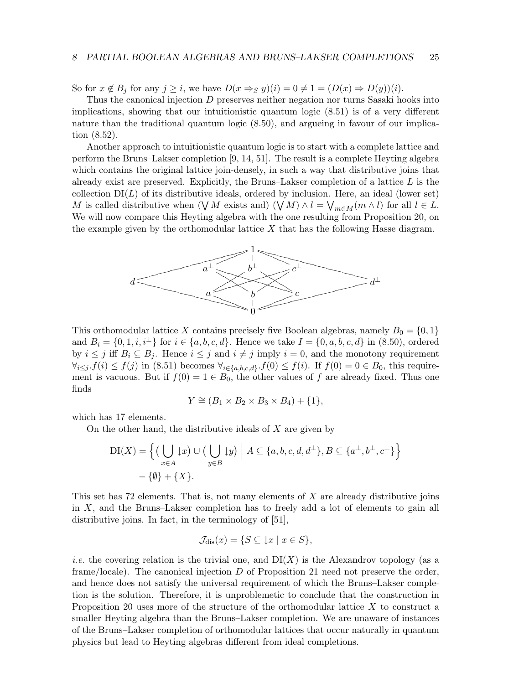So for  $x \notin B_i$  for any  $j \geq i$ , we have  $D(x \Rightarrow s y)(i) = 0 \neq 1 = (D(x) \Rightarrow D(y))(i)$ .

Thus the canonical injection D preserves neither negation nor turns Sasaki hooks into implications, showing that our intuitionistic quantum logic (8.51) is of a very different nature than the traditional quantum logic (8.50), and argueing in favour of our implication (8.52).

Another approach to intuitionistic quantum logic is to start with a complete lattice and perform the Bruns–Lakser completion [9, 14, 51]. The result is a complete Heyting algebra which contains the original lattice join-densely, in such a way that distributive joins that already exist are preserved. Explicitly, the Bruns–Lakser completion of a lattice  $L$  is the collection  $DI(L)$  of its distributive ideals, ordered by inclusion. Here, an ideal (lower set) M is called distributive when  $(\forall M \text{ exists and}) (\forall M) \wedge l = \forall_{m \in M} (m \wedge l)$  for all  $l \in L$ . We will now compare this Heyting algebra with the one resulting from Proposition 20, on the example given by the orthomodular lattice  $X$  that has the following Hasse diagram.



This orthomodular lattice X contains precisely five Boolean algebras, namely  $B_0 = \{0, 1\}$ and  $B_i = \{0, 1, i, i^{\perp}\}\$ for  $i \in \{a, b, c, d\}$ . Hence we take  $I = \{0, a, b, c, d\}$  in  $(8.50)$ , ordered by  $i \leq j$  iff  $B_i \subseteq B_j$ . Hence  $i \leq j$  and  $i \neq j$  imply  $i = 0$ , and the monotony requirement  $\forall_{i\leq j}. f(i) \leq f(j)$  in  $(8.51)$  becomes  $\forall_{i\in\{a,b,c,d\}}. f(0) \leq f(i)$ . If  $f(0) = 0 \in B_0$ , this requirement is vacuous. But if  $f(0) = 1 \in B_0$ , the other values of f are already fixed. Thus one finds

$$
Y \cong (B_1 \times B_2 \times B_3 \times B_4) + \{1\},
$$

which has 17 elements.

On the other hand, the distributive ideals of  $X$  are given by

$$
DI(X) = \left\{ \left( \bigcup_{x \in A} \downarrow x \right) \cup \left( \bigcup_{y \in B} \downarrow y \right) \middle| A \subseteq \{a, b, c, d, d^{\perp}\}, B \subseteq \{a^{\perp}, b^{\perp}, c^{\perp}\} \right\} - \{\emptyset\} + \{X\}.
$$

This set has 72 elements. That is, not many elements of  $X$  are already distributive joins in X, and the Bruns–Lakser completion has to freely add a lot of elements to gain all distributive joins. In fact, in the terminology of [51],

$$
\mathcal{J}_{dis}(x) = \{ S \subseteq \downarrow x \mid x \in S \},\
$$

*i.e.* the covering relation is the trivial one, and  $DI(X)$  is the Alexandrov topology (as a frame/locale). The canonical injection  $D$  of Proposition 21 need not preserve the order, and hence does not satisfy the universal requirement of which the Bruns–Lakser completion is the solution. Therefore, it is unproblemetic to conclude that the construction in Proposition 20 uses more of the structure of the orthomodular lattice X to construct a smaller Heyting algebra than the Bruns–Lakser completion. We are unaware of instances of the Bruns–Lakser completion of orthomodular lattices that occur naturally in quantum physics but lead to Heyting algebras different from ideal completions.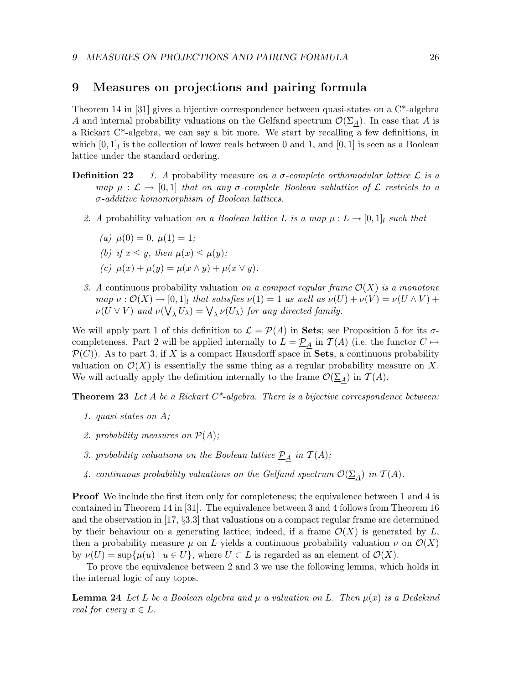## 9 Measures on projections and pairing formula

Theorem 14 in [31] gives a bijective correspondence between quasi-states on a C\*-algebra A and internal probability valuations on the Gelfand spectrum  $\mathcal{O}(\Sigma_A)$ . In case that A is a Rickart C\*-algebra, we can say a bit more. We start by recalling a few definitions, in which  $[0,1]_l$  is the collection of lower reals between 0 and 1, and  $[0,1]$  is seen as a Boolean lattice under the standard ordering.

- **Definition 22** 1. A probability measure on a  $\sigma$ -complete orthomodular lattice  $\mathcal{L}$  is a map  $\mu : \mathcal{L} \to [0,1]$  that on any  $\sigma$ -complete Boolean sublattice of  $\mathcal{L}$  restricts to a σ-additive homomorphism of Boolean lattices.
	- 2. A probability valuation on a Boolean lattice L is a map  $\mu : L \to [0,1]_l$  such that
		- (a)  $\mu(0) = 0, \mu(1) = 1;$
		- (b) if  $x \leq y$ , then  $\mu(x) \leq \mu(y)$ ;
		- (c)  $\mu(x) + \mu(y) = \mu(x \wedge y) + \mu(x \vee y).$
	- 3. A continuous probability valuation on a compact regular frame  $\mathcal{O}(X)$  is a monotone  $map \nu : \mathcal{O}(X) \to [0,1]$  that satisfies  $\nu(1) = 1$  as well as  $\nu(U) + \nu(V) = \nu(U \wedge V) +$  $\nu(U \vee V)$  and  $\nu(\bigvee_{\lambda} U_{\lambda}) = \bigvee_{\lambda} \nu(U_{\lambda})$  for any directed family.

We will apply part 1 of this definition to  $\mathcal{L} = \mathcal{P}(A)$  in **Sets**; see Proposition 5 for its  $\sigma$ completeness. Part 2 will be applied internally to  $L = \underline{\mathcal{P}}_A$  in  $\mathcal{T}(A)$  (i.e. the functor  $C \mapsto$  $\mathcal{P}(C)$ ). As to part 3, if X is a compact Hausdorff space in Sets, a continuous probability valuation on  $\mathcal{O}(X)$  is essentially the same thing as a regular probability measure on X. We will actually apply the definition internally to the frame  $\mathcal{O}(\Sigma_A)$  in  $\mathcal{T}(A)$ .

**Theorem 23** Let A be a Rickart  $C^*$ -algebra. There is a bijective correspondence between:

- 1. quasi-states on A;
- 2. probability measures on  $\mathcal{P}(A)$ ;
- 3. probability valuations on the Boolean lattice  $\underline{\mathcal{P}}_A$  in  $\mathcal{T}(A)$ ;
- 4. continuous probability valuations on the Gelfand spectrum  $\mathcal{O}(\underline{\Sigma}_A)$  in  $\mathcal{T}(A)$ .

**Proof** We include the first item only for completeness; the equivalence between 1 and 4 is contained in Theorem 14 in [31]. The equivalence between 3 and 4 follows from Theorem 16 and the observation in [17, §3.3] that valuations on a compact regular frame are determined by their behaviour on a generating lattice; indeed, if a frame  $\mathcal{O}(X)$  is generated by L, then a probability measure  $\mu$  on L yields a continuous probability valuation  $\nu$  on  $\mathcal{O}(X)$ by  $\nu(U) = \sup{\{\mu(u) \mid u \in U\}}$ , where  $U \subset L$  is regarded as an element of  $\mathcal{O}(X)$ .

To prove the equivalence between 2 and 3 we use the following lemma, which holds in the internal logic of any topos.

**Lemma 24** Let L be a Boolean algebra and  $\mu$  a valuation on L. Then  $\mu(x)$  is a Dedekind real for every  $x \in L$ .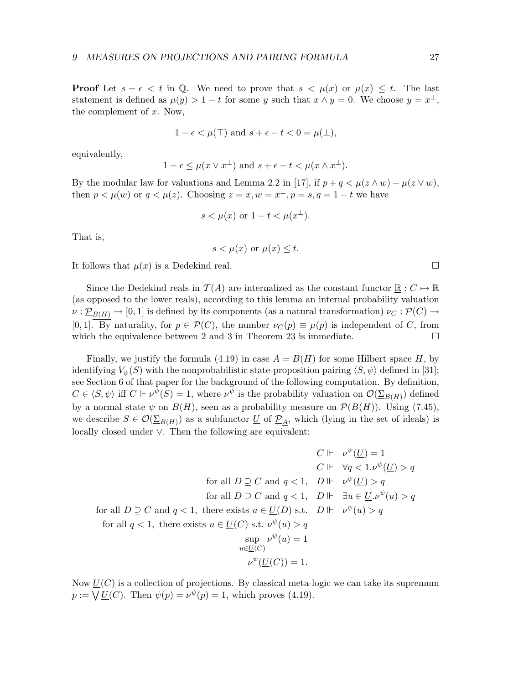**Proof** Let  $s + \epsilon < t$  in Q. We need to prove that  $s < \mu(x)$  or  $\mu(x) \leq t$ . The last statement is defined as  $\mu(y) > 1 - t$  for some y such that  $x \wedge y = 0$ . We choose  $y = x^{\perp}$ , the complement of  $x$ . Now,

$$
1 - \epsilon < \mu(\top)
$$
 and  $s + \epsilon - t < 0 = \mu(\bot)$ ,

equivalently,

$$
1 - \epsilon \leq \mu(x \vee x^{\perp})
$$
 and  $s + \epsilon - t < \mu(x \wedge x^{\perp}).$ 

By the modular law for valuations and Lemma 2.2 in [17], if  $p + q < \mu(z \wedge w) + \mu(z \vee w)$ , then  $p < \mu(w)$  or  $q < \mu(z)$ . Choosing  $z = x, w = x^{\perp}, p = s, q = 1 - t$  we have

$$
s < \mu(x) \text{ or } 1 - t < \mu(x^{\perp}).
$$

That is,

$$
s < \mu(x)
$$
 or  $\mu(x) \leq t$ .

It follows that  $\mu(x)$  is a Dedekind real.

Since the Dedekind reals in  $\mathcal{T}(A)$  are internalized as the constant functor  $\mathbb{R}: C \mapsto \mathbb{R}$ (as opposed to the lower reals), according to this lemma an internal probability valuation  $\nu: \mathcal{D}_{B(H)} \to [0,1]$  is defined by its components (as a natural transformation)  $\nu_C: \mathcal{P}(C) \to$ [0, 1]. By naturality, for  $p \in \mathcal{P}(C)$ , the number  $\nu_C(p) \equiv \mu(p)$  is independent of C, from which the equivalence between 2 and 3 in Theorem 23 is immediate.  $\square$ 

Finally, we justify the formula (4.19) in case  $A = B(H)$  for some Hilbert space H, by identifying  $V_{\psi}(S)$  with the nonprobabilistic state-proposition pairing  $\langle S, \psi \rangle$  defined in [31]; see Section 6 of that paper for the background of the following computation. By definition,  $C \in \langle S, \psi \rangle$  iff  $C \Vdash \nu^{\psi}(S) = 1$ , where  $\nu^{\psi}$  is the probability valuation on  $\mathcal{O}(\Sigma_{B(H)})$  defined by a normal state  $\psi$  on  $B(H)$ , seen as a probability measure on  $\mathcal{P}(B(H))$ . Using (7.45), we describe  $S \in \mathcal{O}(\Sigma_{B(H)})$  as a subfunctor  $\underline{U}$  of  $\underline{P}_A$ , which (lying in the set of ideals) is locally closed under ∨. Then the following are equivalent:

$$
C \Vdash \nu^{\psi}(\underline{U}) = 1
$$
  
\n
$$
C \Vdash \forall q < 1. \nu^{\psi}(\underline{U}) > q
$$
  
\nfor all  $D \supseteq C$  and  $q < 1$ ,  $D \Vdash \nu^{\psi}(\underline{U}) > q$   
\nfor all  $D \supseteq C$  and  $q < 1$ ,  $D \Vdash \exists u \in \underline{U}. \nu^{\psi}(u) > q$   
\nfor all  $Q \supseteq C$  and  $Q \supseteq Q$  and  $Q \supseteq Q$   
\nfor all  $Q \supseteq Q$ , there exists  $u \in \underline{U}(D)$  s.t.  $D \Vdash \nu^{\psi}(u) > q$   
\nfor all  $Q \supseteq Q$ , there exists  $u \in \underline{U}(C)$  s.t.  $\nu^{\psi}(u) > q$   
\n $\sup_{u \in \underline{U}(C)} \nu^{\psi}(u) = 1$   
\n $\nu^{\psi}(\underline{U}(C)) = 1$ .

Now  $U(C)$  is a collection of projections. By classical meta-logic we can take its supremum  $p := \bigvee U(C)$ . Then  $\psi(p) = \nu^{\psi}(p) = 1$ , which proves (4.19).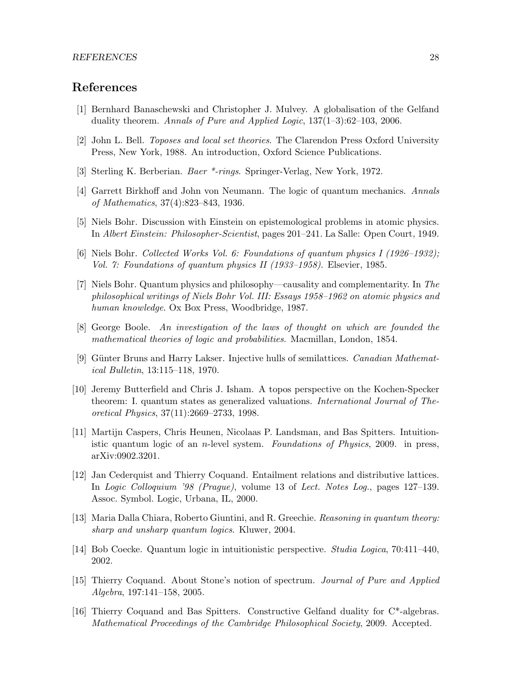## References

- [1] Bernhard Banaschewski and Christopher J. Mulvey. A globalisation of the Gelfand duality theorem. Annals of Pure and Applied Logic,  $137(1-3):62-103$ , 2006.
- [2] John L. Bell. Toposes and local set theories. The Clarendon Press Oxford University Press, New York, 1988. An introduction, Oxford Science Publications.
- [3] Sterling K. Berberian. Baer \*-rings. Springer-Verlag, New York, 1972.
- [4] Garrett Birkhoff and John von Neumann. The logic of quantum mechanics. Annals of Mathematics, 37(4):823–843, 1936.
- [5] Niels Bohr. Discussion with Einstein on epistemological problems in atomic physics. In Albert Einstein: Philosopher-Scientist, pages 201–241. La Salle: Open Court, 1949.
- [6] Niels Bohr. Collected Works Vol. 6: Foundations of quantum physics I (1926–1932); Vol. 7: Foundations of quantum physics II (1933–1958). Elsevier, 1985.
- [7] Niels Bohr. Quantum physics and philosophy—causality and complementarity. In The philosophical writings of Niels Bohr Vol. III: Essays 1958–1962 on atomic physics and human knowledge. Ox Box Press, Woodbridge, 1987.
- [8] George Boole. An investigation of the laws of thought on which are founded the mathematical theories of logic and probabilities. Macmillan, London, 1854.
- [9] Günter Bruns and Harry Lakser. Injective hulls of semilattices. *Canadian Mathemat*ical Bulletin, 13:115–118, 1970.
- [10] Jeremy Butterfield and Chris J. Isham. A topos perspective on the Kochen-Specker theorem: I. quantum states as generalized valuations. International Journal of Theoretical Physics, 37(11):2669–2733, 1998.
- [11] Martijn Caspers, Chris Heunen, Nicolaas P. Landsman, and Bas Spitters. Intuitionistic quantum logic of an *n*-level system. Foundations of Physics, 2009. in press, arXiv:0902.3201.
- [12] Jan Cederquist and Thierry Coquand. Entailment relations and distributive lattices. In Logic Colloquium '98 (Prague), volume 13 of Lect. Notes Log., pages 127–139. Assoc. Symbol. Logic, Urbana, IL, 2000.
- [13] Maria Dalla Chiara, Roberto Giuntini, and R. Greechie. Reasoning in quantum theory: sharp and unsharp quantum logics. Kluwer, 2004.
- [14] Bob Coecke. Quantum logic in intuitionistic perspective. Studia Logica, 70:411–440, 2002.
- [15] Thierry Coquand. About Stone's notion of spectrum. Journal of Pure and Applied Algebra, 197:141–158, 2005.
- [16] Thierry Coquand and Bas Spitters. Constructive Gelfand duality for C\*-algebras. Mathematical Proceedings of the Cambridge Philosophical Society, 2009. Accepted.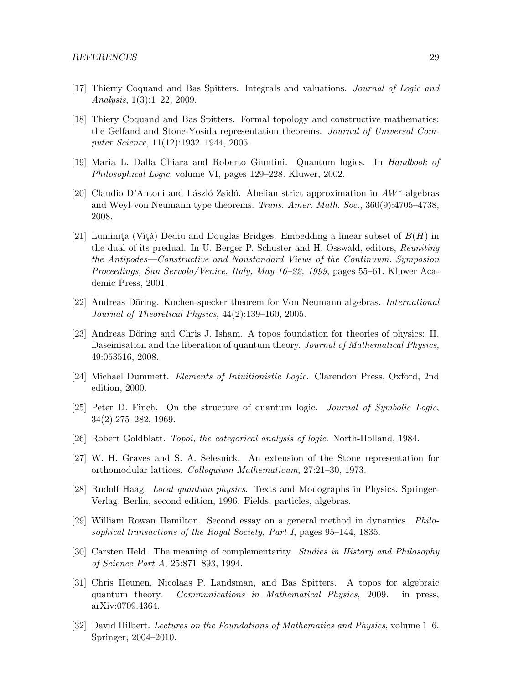- [17] Thierry Coquand and Bas Spitters. Integrals and valuations. Journal of Logic and Analysis, 1(3):1–22, 2009.
- [18] Thiery Coquand and Bas Spitters. Formal topology and constructive mathematics: the Gelfand and Stone-Yosida representation theorems. Journal of Universal Computer Science, 11(12):1932–1944, 2005.
- [19] Maria L. Dalla Chiara and Roberto Giuntini. Quantum logics. In Handbook of Philosophical Logic, volume VI, pages 129–228. Kluwer, 2002.
- [20] Claudio D'Antoni and László Zsidó. Abelian strict approximation in  $AW^*$ -algebras and Weyl-von Neumann type theorems. Trans. Amer. Math. Soc., 360(9):4705–4738, 2008.
- [21] Luminita (Vîtă) Dediu and Douglas Bridges. Embedding a linear subset of  $B(H)$  in the dual of its predual. In U. Berger P. Schuster and H. Osswald, editors, Reuniting the Antipodes—Constructive and Nonstandard Views of the Continuum. Symposion Proceedings, San Servolo/Venice, Italy, May 16–22, 1999, pages 55–61. Kluwer Academic Press, 2001.
- [22] Andreas Döring. Kochen-specker theorem for Von Neumann algebras. *International* Journal of Theoretical Physics, 44(2):139–160, 2005.
- [23] Andreas Döring and Chris J. Isham. A topos foundation for theories of physics: II. Daseinisation and the liberation of quantum theory. Journal of Mathematical Physics, 49:053516, 2008.
- [24] Michael Dummett. Elements of Intuitionistic Logic. Clarendon Press, Oxford, 2nd edition, 2000.
- [25] Peter D. Finch. On the structure of quantum logic. Journal of Symbolic Logic, 34(2):275–282, 1969.
- [26] Robert Goldblatt. Topoi, the categorical analysis of logic. North-Holland, 1984.
- [27] W. H. Graves and S. A. Selesnick. An extension of the Stone representation for orthomodular lattices. Colloquium Mathematicum, 27:21–30, 1973.
- [28] Rudolf Haag. Local quantum physics. Texts and Monographs in Physics. Springer-Verlag, Berlin, second edition, 1996. Fields, particles, algebras.
- [29] William Rowan Hamilton. Second essay on a general method in dynamics. Philosophical transactions of the Royal Society, Part I, pages 95–144, 1835.
- [30] Carsten Held. The meaning of complementarity. Studies in History and Philosophy of Science Part A, 25:871–893, 1994.
- [31] Chris Heunen, Nicolaas P. Landsman, and Bas Spitters. A topos for algebraic quantum theory. Communications in Mathematical Physics, 2009. in press, arXiv:0709.4364.
- [32] David Hilbert. Lectures on the Foundations of Mathematics and Physics, volume 1–6. Springer, 2004–2010.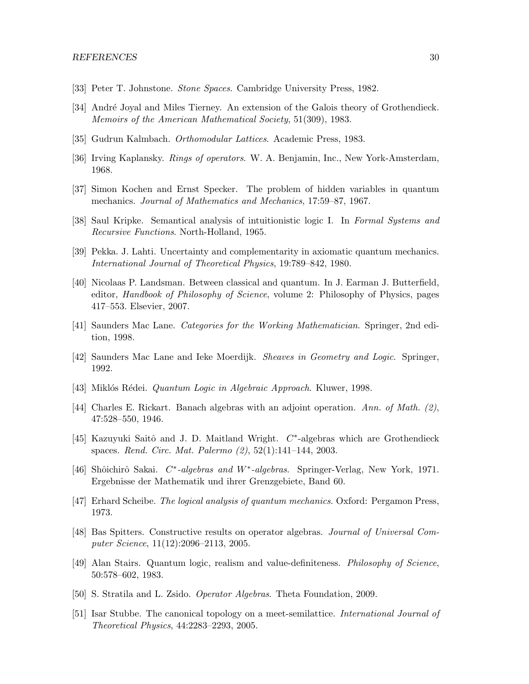- [33] Peter T. Johnstone. Stone Spaces. Cambridge University Press, 1982.
- [34] André Joyal and Miles Tierney. An extension of the Galois theory of Grothendieck. Memoirs of the American Mathematical Society, 51(309), 1983.
- [35] Gudrun Kalmbach. Orthomodular Lattices. Academic Press, 1983.
- [36] Irving Kaplansky. Rings of operators. W. A. Benjamin, Inc., New York-Amsterdam, 1968.
- [37] Simon Kochen and Ernst Specker. The problem of hidden variables in quantum mechanics. Journal of Mathematics and Mechanics, 17:59–87, 1967.
- [38] Saul Kripke. Semantical analysis of intuitionistic logic I. In Formal Systems and Recursive Functions. North-Holland, 1965.
- [39] Pekka. J. Lahti. Uncertainty and complementarity in axiomatic quantum mechanics. International Journal of Theoretical Physics, 19:789–842, 1980.
- [40] Nicolaas P. Landsman. Between classical and quantum. In J. Earman J. Butterfield, editor, Handbook of Philosophy of Science, volume 2: Philosophy of Physics, pages 417–553. Elsevier, 2007.
- [41] Saunders Mac Lane. Categories for the Working Mathematician. Springer, 2nd edition, 1998.
- [42] Saunders Mac Lane and Ieke Moerdijk. Sheaves in Geometry and Logic. Springer, 1992.
- [43] Miklós Rédei. *Quantum Logic in Algebraic Approach*. Kluwer, 1998.
- [44] Charles E. Rickart. Banach algebras with an adjoint operation. Ann. of Math.  $(2)$ , 47:528–550, 1946.
- [45] Kazuyuki Saitô and J. D. Maitland Wright.  $C^*$ -algebras which are Grothendieck spaces. Rend. Circ. Mat. Palermo (2), 52(1):141–144, 2003.
- [46] Shôichirô Sakai. C<sup>\*</sup>-algebras and W<sup>\*</sup>-algebras. Springer-Verlag, New York, 1971. Ergebnisse der Mathematik und ihrer Grenzgebiete, Band 60.
- [47] Erhard Scheibe. The logical analysis of quantum mechanics. Oxford: Pergamon Press, 1973.
- [48] Bas Spitters. Constructive results on operator algebras. Journal of Universal Computer Science, 11(12):2096–2113, 2005.
- [49] Alan Stairs. Quantum logic, realism and value-definiteness. Philosophy of Science, 50:578–602, 1983.
- [50] S. Stratila and L. Zsido. Operator Algebras. Theta Foundation, 2009.
- [51] Isar Stubbe. The canonical topology on a meet-semilattice. International Journal of Theoretical Physics, 44:2283–2293, 2005.